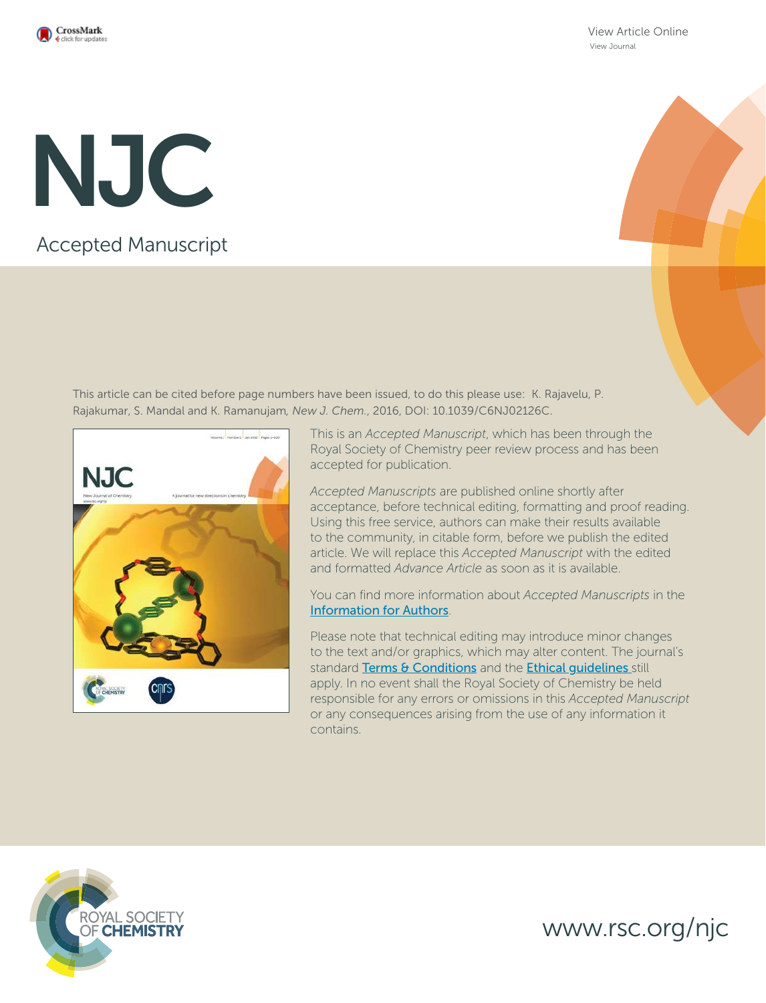

View Article Online View Journal

# Accepted Manuscript NJC

This article can be cited before page numbers have been issued, to do this please use: K. Rajavelu, P. Rajakumar, S. Mandal and K. Ramanujam*, New J. Chem.*, 2016, DOI: 10.1039/C6NJ02126C.



This is an *Accepted Manuscript*, which has been through the Royal Society of Chemistry peer review process and has been accepted for publication.

*Accepted Manuscripts* are published online shortly after acceptance, before technical editing, formatting and proof reading. Using this free service, authors can make their results available to the community, in citable form, before we publish the edited article. We will replace this *Accepted Manuscript* with the edited and formatted *Advance Article* as soon as it is available.

You can find more information about *Accepted Manuscripts* in the Information for Authors.

Please note that technical editing may introduce minor changes to the text and/or graphics, which may alter content. The journal's standard Terms & Conditions and the Ethical quidelines still apply. In no event shall the Royal Society of Chemistry be held responsible for any errors or omissions in this *Accepted Manuscript* or any consequences arising from the use of any information it contains.



www.rsc.org/njc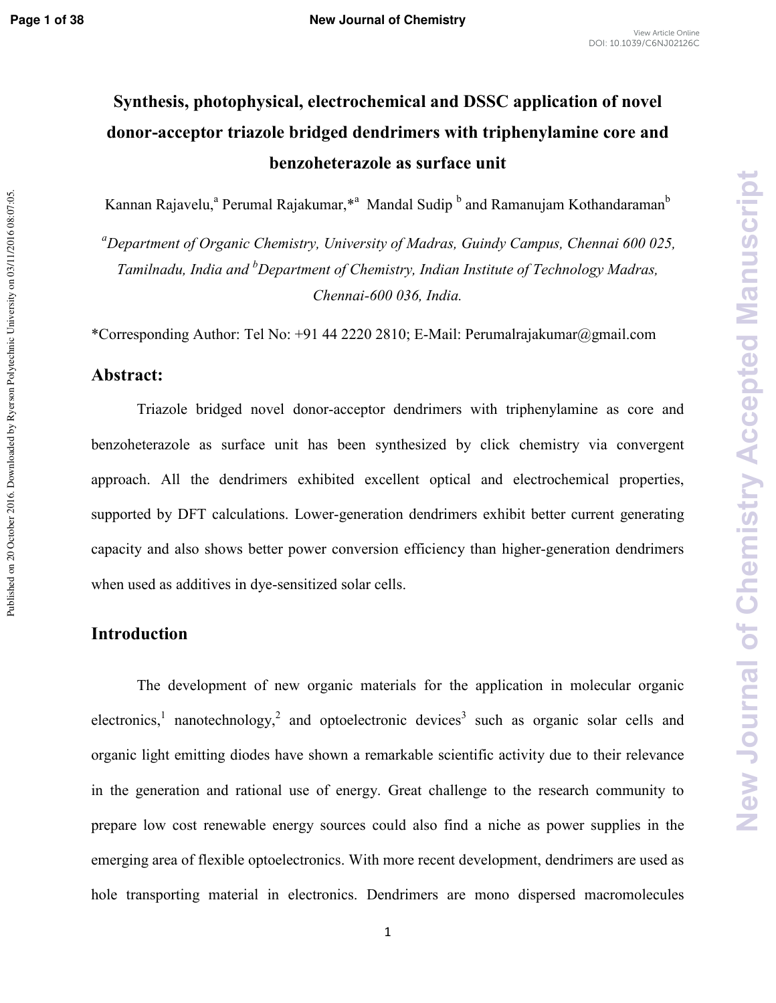Published on 20 October 2016. Downloaded by Ryerson Polytechnic University on 03/11/2016 08:07:05

# **Synthesis, photophysical, electrochemical and DSSC application of novel donoracceptor triazole bridged dendrimers with triphenylamine core and benzoheterazole as surface unit**

Kannan Rajavelu,<sup>a</sup> Perumal Rajakumar,\*<sup>a</sup> Mandal Sudip <sup>b</sup> and Ramanujam Kothandaraman<sup>b</sup>

<sup>*a*</sup>Department of Organic Chemistry, University of Madras, Guindy Campus, Chennai 600 025, Tamilnadu, India and <sup>b</sup>Department of Chemistry, Indian Institute of Technology Madras, *Chennai-600 036, India.* 

\*Corresponding Author: Tel No: +91 44 2220 2810; E\*Mail: Perumalrajakumar@gmail.com

## **Abstract:**

Triazole bridged novel donor-acceptor dendrimers with triphenylamine as core and benzoheterazole as surface unit has been synthesized by click chemistry via convergent approach. All the dendrimers exhibited excellent optical and electrochemical properties, supported by DFT calculations. Lower-generation dendrimers exhibit better current generating capacity and also shows better power conversion efficiency than higher-generation dendrimers when used as additives in dye-sensitized solar cells.

# **Introduction**

The development of new organic materials for the application in molecular organic electronics,<sup>1</sup> nanotechnology,<sup>2</sup> and optoelectronic devices<sup>3</sup> such as organic solar cells and organic light emitting diodes have shown a remarkable scientific activity due to their relevance in the generation and rational use of energy. Great challenge to the research community to prepare low cost renewable energy sources could also find a niche as power supplies in the emerging area of flexible optoelectronics. With more recent development, dendrimers are used as hole transporting material in electronics. Dendrimers are mono dispersed macromolecules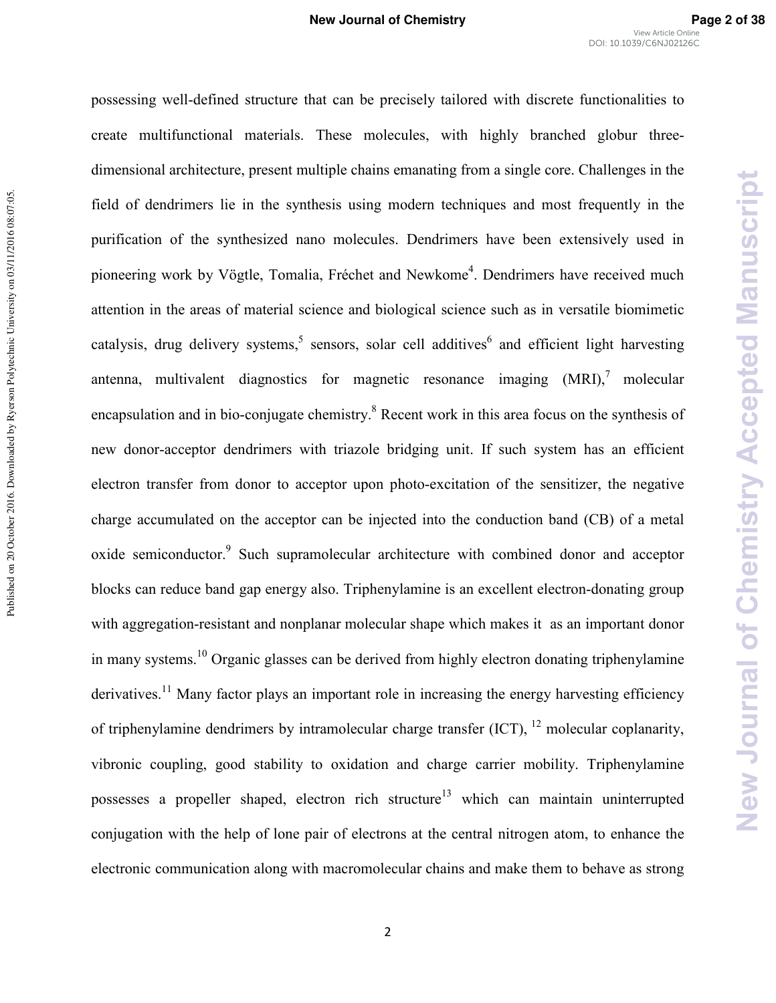possessing well\*defined structure that can be precisely tailored with discrete functionalities to create multifunctional materials. These molecules, with highly branched globur three\* dimensional architecture, present multiple chains emanating from a single core. Challenges in the field of dendrimers lie in the synthesis using modern techniques and most frequently in the purification of the synthesized nano molecules. Dendrimers have been extensively used in pioneering work by Vögtle, Tomalia, Fréchet and Newkome<sup>4</sup>. Dendrimers have received much attention in the areas of material science and biological science such as in versatile biomimetic catalysis, drug delivery systems,<sup>5</sup> sensors, solar cell additives<sup>6</sup> and efficient light harvesting antenna, multivalent diagnostics for magnetic resonance imaging  $(MRI)$ ,<sup>7</sup> molecular encapsulation and in bio-conjugate chemistry.<sup>8</sup> Recent work in this area focus on the synthesis of new donor-acceptor dendrimers with triazole bridging unit. If such system has an efficient electron transfer from donor to acceptor upon photo-excitation of the sensitizer, the negative charge accumulated on the acceptor can be injected into the conduction band (CB) of a metal oxide semiconductor.<sup>9</sup> Such supramolecular architecture with combined donor and acceptor blocks can reduce band gap energy also. Triphenylamine is an excellent electron-donating group with aggregation-resistant and nonplanar molecular shape which makes it as an important donor in many systems.<sup>10</sup> Organic glasses can be derived from highly electron donating triphenylamine derivatives.<sup>11</sup> Many factor plays an important role in increasing the energy harvesting efficiency of triphenylamine dendrimers by intramolecular charge transfer  $(ICT)$ ,  $^{12}$  molecular coplanarity, vibronic coupling, good stability to oxidation and charge carrier mobility. Triphenylamine possesses a propeller shaped, electron rich structure<sup>13</sup> which can maintain uninterrupted conjugation with the help of lone pair of electrons at the central nitrogen atom, to enhance the electronic communication along with macromolecular chains and make them to behave as strong

**New Journal of Chemistry Accepted Manuscript**

New Journal of Chemistry Accepted Manuscript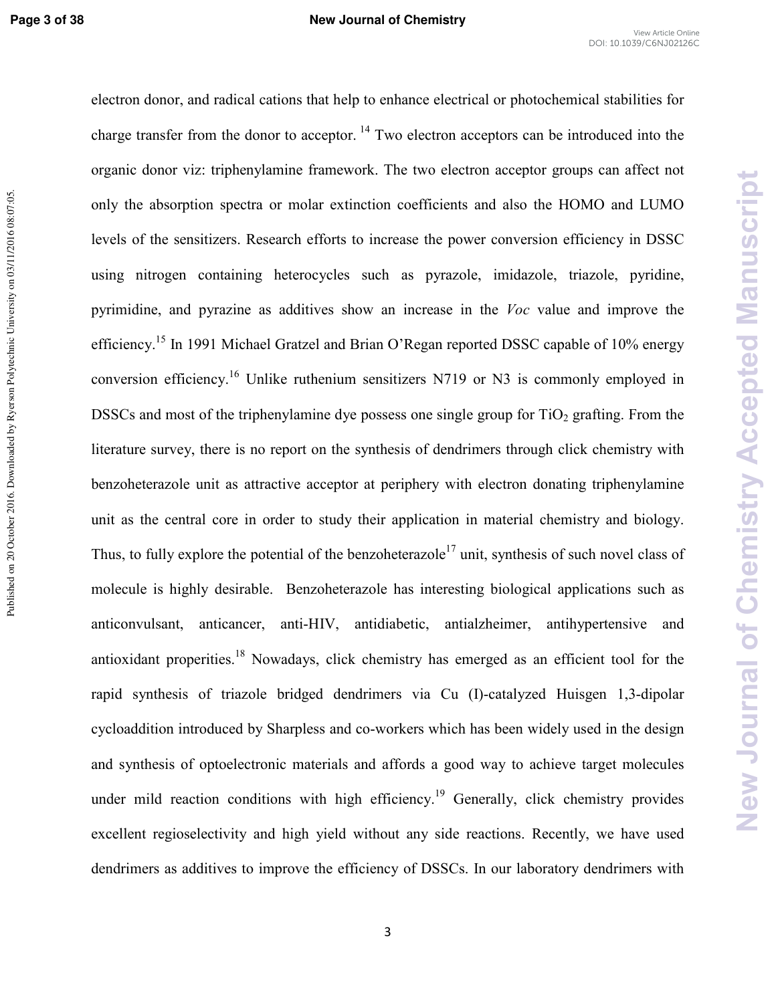New Journal of Chemistry Accepted Manuscript

electron donor, and radical cations that help to enhance electrical or photochemical stabilities for charge transfer from the donor to acceptor.<sup>14</sup> Two electron acceptors can be introduced into the organic donor viz: triphenylamine framework. The two electron acceptor groups can affect not only the absorption spectra or molar extinction coefficients and also the HOMO and LUMO levels of the sensitizers. Research efforts to increase the power conversion efficiency in DSSC using nitrogen containing heterocycles such as pyrazole, imidazole, triazole, pyridine, pyrimidine, and pyrazine as additives show an increase in the *Voc* value and improve the efficiency.<sup>15</sup> In 1991 Michael Gratzel and Brian O'Regan reported DSSC capable of 10% energy conversion efficiency.<sup>16</sup> Unlike ruthenium sensitizers N719 or N3 is commonly employed in DSSCs and most of the triphenylamine dye possess one single group for  $TiO<sub>2</sub>$  grafting. From the literature survey, there is no report on the synthesis of dendrimers through click chemistry with benzoheterazole unit as attractive acceptor at periphery with electron donating triphenylamine unit as the central core in order to study their application in material chemistry and biology. Thus, to fully explore the potential of the benzoheterazole<sup>17</sup> unit, synthesis of such novel class of molecule is highly desirable. Benzoheterazole has interesting biological applications such as anticonvulsant, anticancer, anti-HIV, antidiabetic, antialzheimer, antihypertensive and antioxidant properities.<sup>18</sup> Nowadays, click chemistry has emerged as an efficient tool for the rapid synthesis of triazole bridged dendrimers via Cu (I)-catalyzed Huisgen 1,3-dipolar cycloaddition introduced by Sharpless and co-workers which has been widely used in the design and synthesis of optoelectronic materials and affords a good way to achieve target molecules under mild reaction conditions with high efficiency.<sup>19</sup> Generally, click chemistry provides excellent regioselectivity and high yield without any side reactions. Recently, we have used dendrimers as additives to improve the efficiency of DSSCs. In our laboratory dendrimers with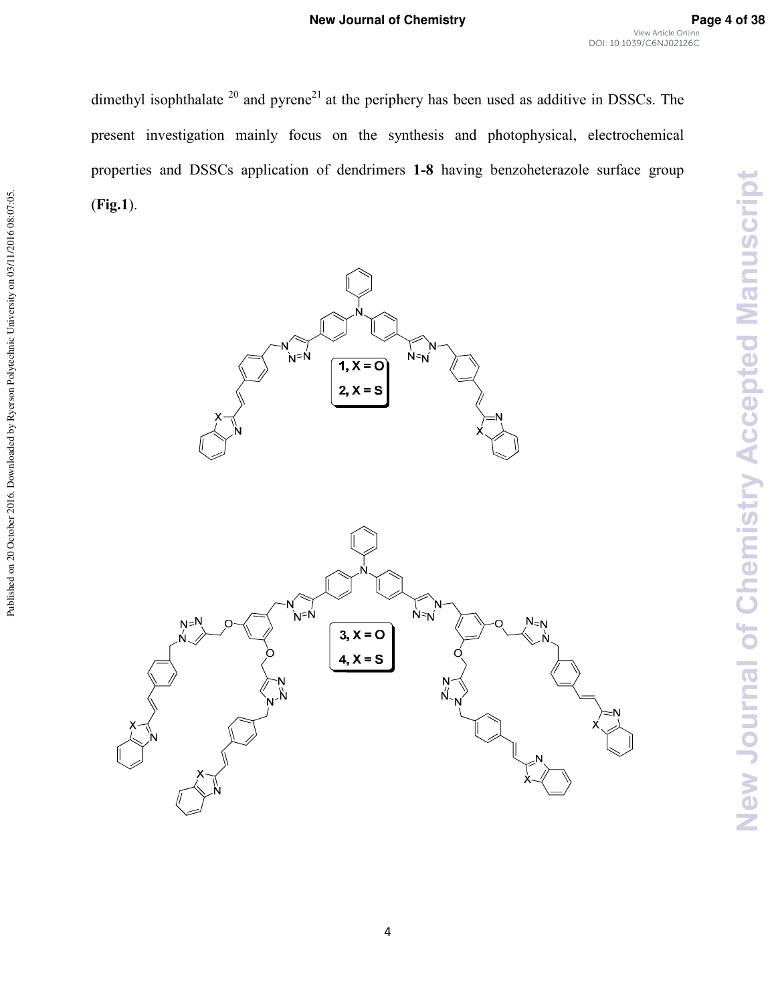dimethyl isophthalate  $20$  and pyrene<sup>21</sup> at the periphery has been used as additive in DSSCs. The present investigation mainly focus on the synthesis and photophysical, electrochemical properties and DSSCs application of dendrimers **18** having benzoheterazole surface group (**Fig.1**).



Published on 20 October 2016. Downloaded by Ryerson Polytechnic University on 03/11/2016 08:07:05.

Published on 20 October 2016. Downloaded by Ryerson Polytechnic University on 03/11/2016 08:07:05.

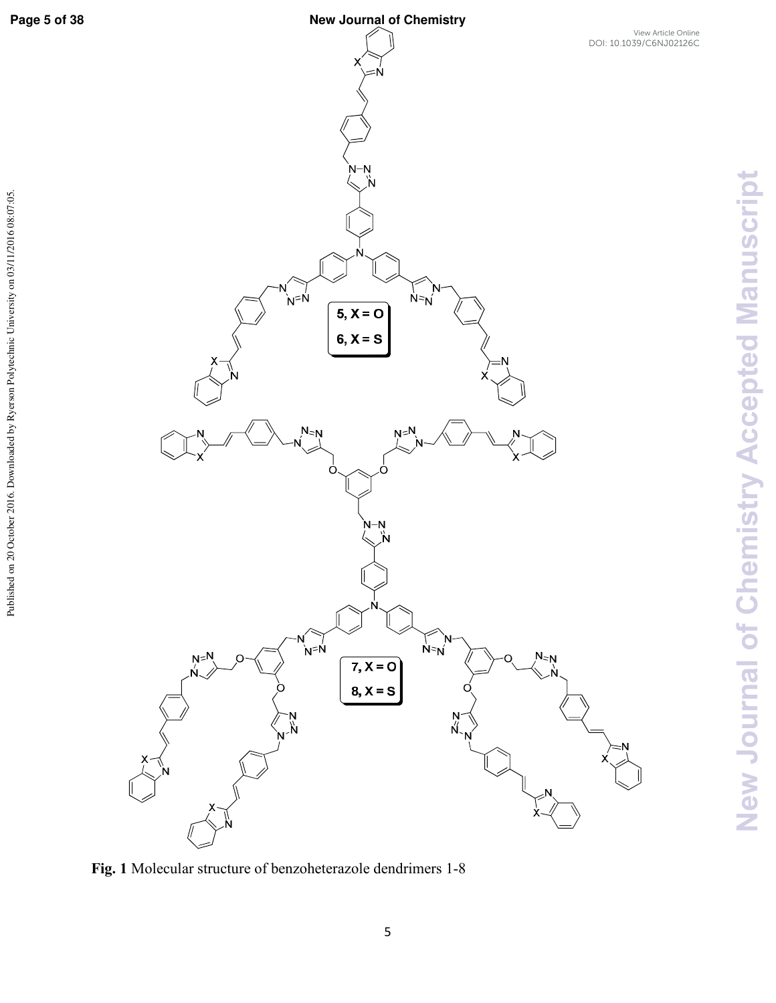Published on 20 October 2016. Downloaded by Ryerson Polytechnic University on 03/11/2016 08:07:05.

# **Page 5 of 38 New Journal of Chemistry**



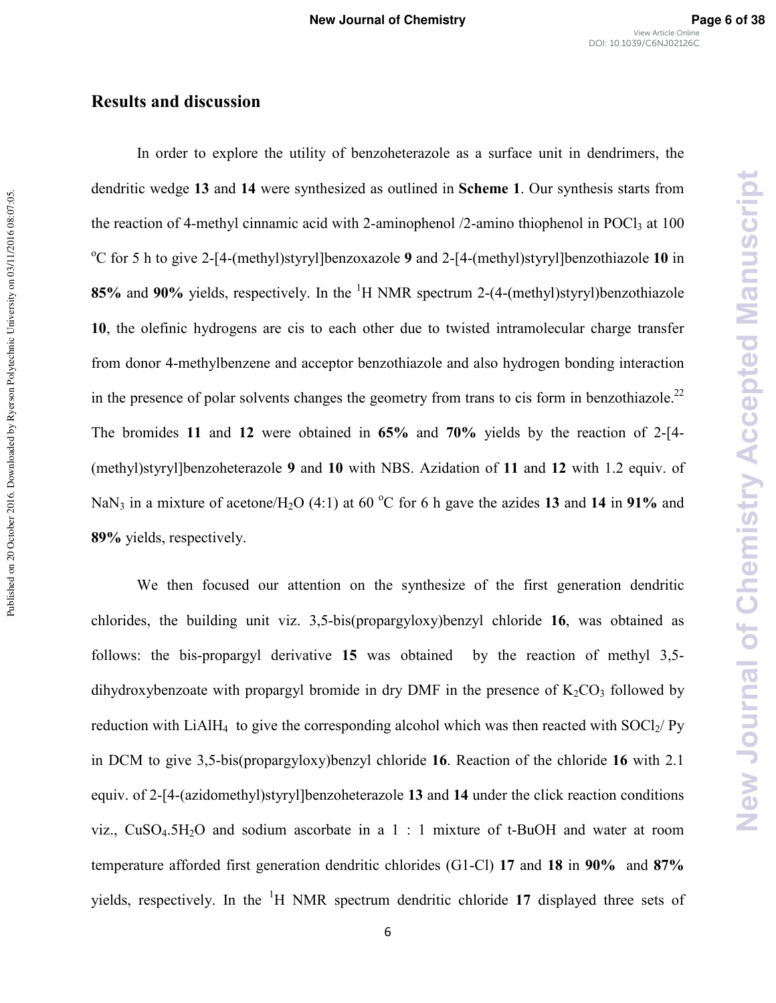# **Results and discussion**

In order to explore the utility of benzoheterazole as a surface unit in dendrimers, the dendritic wedge **13** and **14** were synthesized as outlined in **Scheme 1**. Our synthesis starts from the reaction of 4-methyl cinnamic acid with 2-aminophenol  $/2$ -amino thiophenol in POCl<sub>3</sub> at 100 <sup>o</sup>C for 5 h to give 2-[4-(methyl)styryl]benzoxazole 9 and 2-[4-(methyl)styryl]benzothiazole 10 in **85%** and 90% yields, respectively. In the <sup>1</sup>H NMR spectrum 2-(4-(methyl)styryl)benzothiazole **10**, the olefinic hydrogens are cis to each other due to twisted intramolecular charge transfer from donor 4\*methylbenzene and acceptor benzothiazole and also hydrogen bonding interaction in the presence of polar solvents changes the geometry from trans to cis form in benzothiazole.<sup>22</sup> The bromides 11 and 12 were obtained in  $65\%$  and  $70\%$  yields by the reaction of 2-[4-(methyl)styryl]benzoheterazole **9** and **10** with NBS. Azidation of **11** and **12** with 1.2 equiv. of NaN<sub>3</sub> in a mixture of acetone/H<sub>2</sub>O (4:1) at 60 °C for 6 h gave the azides 13 and 14 in 91% and **89%** yields, respectively.

We then focused our attention on the synthesize of the first generation dendritic chlorides, the building unit viz. 3,5\*bis(propargyloxy)benzyl chloride **16**, was obtained as follows: the bis-propargyl derivative  $15$  was obtained by the reaction of methyl  $3,5$ dihydroxybenzoate with propargyl bromide in dry DMF in the presence of  $K_2CO_3$  followed by reduction with LiAlH<sub>4</sub> to give the corresponding alcohol which was then reacted with SOCl<sub>2</sub>/ Py in DCM to give 3,5\*bis(propargyloxy)benzyl chloride **16**. Reaction of the chloride **16** with 2.1 equiv. of 2\*[4\*(azidomethyl)styryl]benzoheterazole **13** and **14** under the click reaction conditions viz.,  $CuSO<sub>4</sub>.5H<sub>2</sub>O$  and sodium ascorbate in a 1 : 1 mixture of t-BuOH and water at room temperature afforded first generation dendritic chlorides (G1\*Cl) **17** and **18** in **90%** and **87%** yields, respectively. In the <sup>1</sup>H NMR spectrum dendritic chloride **17** displayed three sets of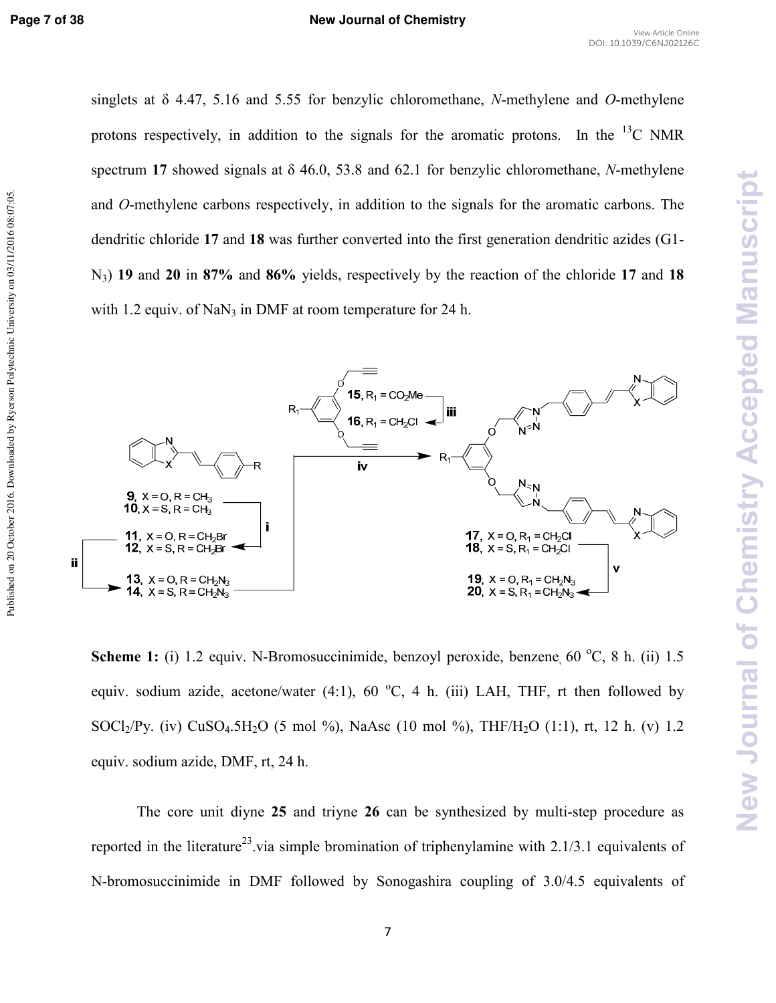New Journal of Chemistry Accepted Manuscript

singlets at  $\delta$  4.47, 5.16 and 5.55 for benzylic chloromethane, *N*-methylene and *O*-methylene protons respectively, in addition to the signals for the aromatic protons. In the  $^{13}$ C NMR spectrum 17 showed signals at  $\delta$  46.0, 53.8 and 62.1 for benzylic chloromethane, *N*-methylene and *O*-methylene carbons respectively, in addition to the signals for the aromatic carbons. The dendritic chloride **17** and **18** was further converted into the first generation dendritic azides (G1\* N3) **19** and **20** in **87%** and **86%** yields, respectively by the reaction of the chloride **17** and **18** with 1.2 equiv. of  $NaN_3$  in DMF at room temperature for 24 h.



**Scheme 1:** (i) 1.2 equiv. N-Bromosuccinimide, benzovl peroxide, benzene, 60 °C, 8 h. (ii) 1.5 equiv. sodium azide, acetone/water  $(4:1)$ , 60 °C, 4 h. (iii) LAH, THF, rt then followed by SOCl<sub>2</sub>/Py. (iv) CuSO<sub>4</sub>.5H<sub>2</sub>O (5 mol %), NaAsc (10 mol %), THF/H<sub>2</sub>O (1:1), rt, 12 h. (v) 1.2 equiv. sodium azide, DMF, rt, 24 h.

The core unit diyne 25 and triyne 26 can be synthesized by multi-step procedure as reported in the literature<sup>23</sup> via simple bromination of triphenylamine with  $2.1/3.1$  equivalents of N-bromosuccinimide in DMF followed by Sonogashira coupling of 3.0/4.5 equivalents of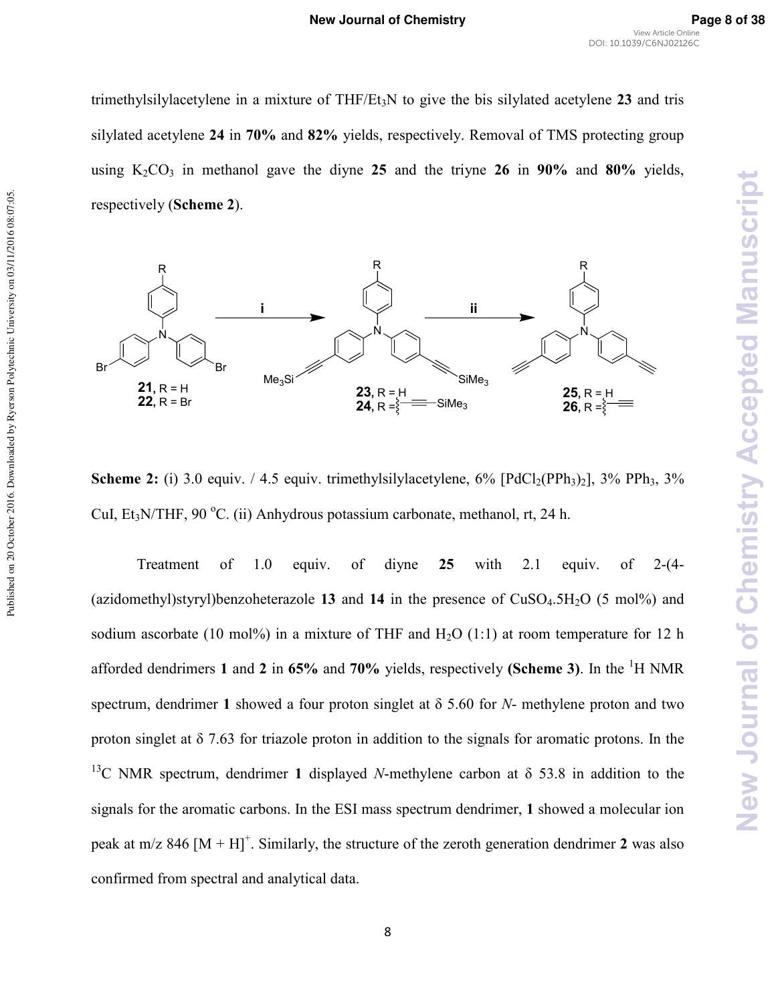trimethylsilylacetylene in a mixture of THF/Et3N to give the bis silylated acetylene **23** and tris silylated acetylene **24** in **70%** and **82%** yields, respectively. Removal of TMS protecting group using  $K_2CO_3$  in methanol gave the diyne 25 and the triyne 26 in 90% and 80% yields, respectively (**Scheme 2**).



Published on 20 October 2016. Downloaded by Ryerson Polytechnic University on 03/11/2016 08:07:05.

Published on 20 October 2016. Downloaded by Ryerson Polytechnic University on 03/11/2016 08:07:05

**Scheme 2:** (i) 3.0 equiv. / 4.5 equiv. trimethylsilylacetylene,  $6\%$   $[PdCl<sub>2</sub>(PPh<sub>3</sub>)<sub>2</sub>]$ ,  $3\%$  PPh<sub>3</sub>,  $3\%$ CuI, Et<sub>3</sub>N/THF, 90 °C. (ii) Anhydrous potassium carbonate, methanol, rt, 24 h.

Treatment of 1.0 equiv. of diyne  $25$  with 2.1 equiv. of 2- $(4-$ (azidomethyl)styryl)benzoheterazole 13 and 14 in the presence of  $CuSO<sub>4</sub>.5H<sub>2</sub>O$  (5 mol%) and sodium ascorbate (10 mol%) in a mixture of THF and  $H<sub>2</sub>O$  (1:1) at room temperature for 12 h afforded dendrimers **1** and **2** in **65%** and **70%** yields, respectively **(Scheme 3)**. In the <sup>1</sup>H NMR spectrum, dendrimer 1 showed a four proton singlet at  $\delta$  5.60 for *N*- methylene proton and two proton singlet at  $\delta$  7.63 for triazole proton in addition to the signals for aromatic protons. In the <sup>13</sup>C NMR spectrum, dendrimer 1 displayed *N*-methylene carbon at  $\delta$  53.8 in addition to the signals for the aromatic carbons. In the ESI mass spectrum dendrimer, **1** showed a molecular ion peak at m/z 846  $[M + H]$ <sup>+</sup>. Similarly, the structure of the zeroth generation dendrimer 2 was also confirmed from spectral and analytical data.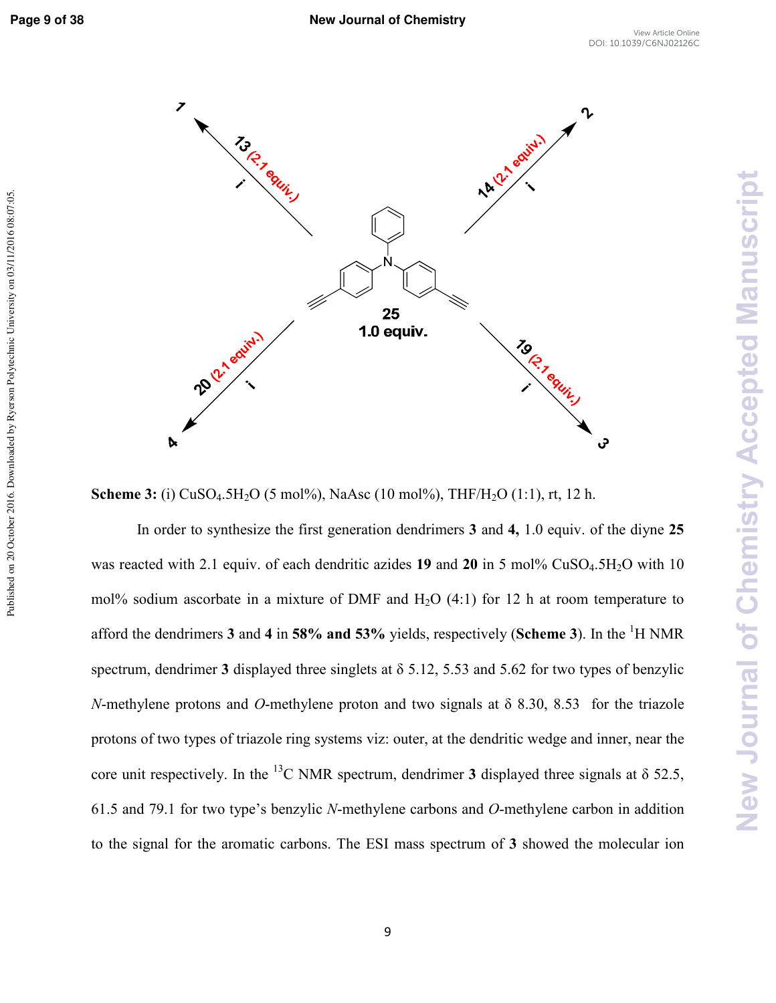Published on 20 October 2016. Downloaded by Ryerson Polytechnic University on 03/11/2016 08:07:05



**Scheme 3:** (i) CuSO<sub>4</sub>.5H<sub>2</sub>O (5 mol%), NaAsc (10 mol%), THF/H<sub>2</sub>O (1:1), rt, 12 h.

In order to synthesize the first generation dendrimers **3** and **4,** 1.0 equiv. of the diyne **25**  was reacted with 2.1 equiv. of each dendritic azides 19 and 20 in 5 mol% CuSO<sub>4</sub>.5H<sub>2</sub>O with 10 mol% sodium ascorbate in a mixture of DMF and  $H_2O(4:1)$  for 12 h at room temperature to afford the dendrimers 3 and 4 in 58% and 53% yields, respectively (Scheme 3). In the <sup>1</sup>H NMR spectrum, dendrimer **3** displayed three singlets at δ 5.12, 5.53 and 5.62 for two types of benzylic *N*-methylene protons and *O*-methylene proton and two signals at  $\delta$  8.30, 8.53 for the triazole protons of two types of triazole ring systems viz: outer, at the dendritic wedge and inner, near the core unit respectively. In the <sup>13</sup>C NMR spectrum, dendrimer **3** displayed three signals at  $\delta$  52.5, 61.5 and 79.1 for two type's benzylic *N*-methylene carbons and *O*-methylene carbon in addition to the signal for the aromatic carbons. The ESI mass spectrum of **3** showed the molecular ion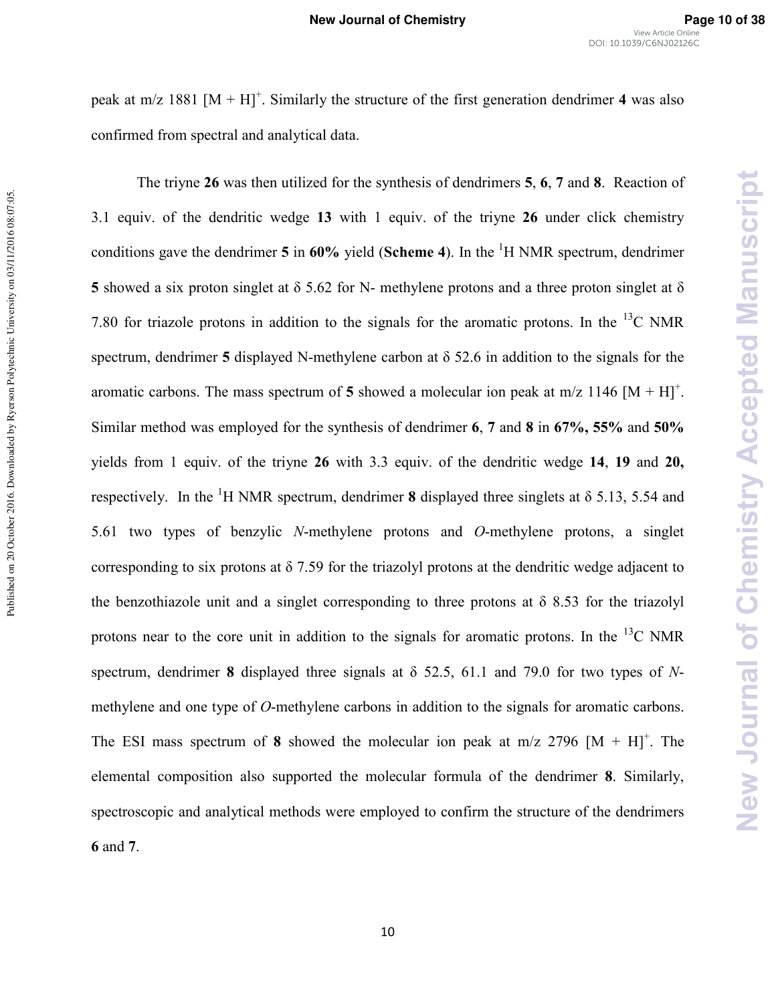**New Journal of Chemistry Accepted Manuscript** 

peak at m/z 1881  $[M + H]$ <sup>+</sup>. Similarly the structure of the first generation dendrimer 4 was also confirmed from spectral and analytical data.

The triyne **26** was then utilized for the synthesis of dendrimers **5**, **6**, **7** and **8**. Reaction of 3.1 equiv. of the dendritic wedge **13** with 1 equiv. of the triyne **26** under click chemistry conditions gave the dendrimer  $5$  in  $60\%$  yield (**Scheme 4**). In the <sup>1</sup>H NMR spectrum, dendrimer **5** showed a six proton singlet at  $\delta$  5.62 for N- methylene protons and a three proton singlet at  $\delta$ 7.80 for triazole protons in addition to the signals for the aromatic protons. In the  $^{13}$ C NMR spectrum, dendrimer **5** displayed N-methylene carbon at  $\delta$  52.6 in addition to the signals for the aromatic carbons. The mass spectrum of 5 showed a molecular ion peak at  $m/z$  1146  $[M + H]$ <sup>+</sup>. Similar method was employed for the synthesis of dendrimer **6**, **7** and **8** in **67%, 55%** and **50%** yields from 1 equiv. of the triyne **26** with 3.3 equiv. of the dendritic wedge **14**, **19** and **20,** respectively. In the <sup>1</sup>H NMR spectrum, dendrimer **8** displayed three singlets at  $\delta$  5.13, 5.54 and 5.61 two types of benzylic *N*-methylene protons and *O*-methylene protons, a singlet corresponding to six protons at  $\delta$  7.59 for the triazolyl protons at the dendritic wedge adjacent to the benzothiazole unit and a singlet corresponding to three protons at  $\delta$  8.53 for the triazolyl protons near to the core unit in addition to the signals for aromatic protons. In the  $^{13}$ C NMR spectrum, dendrimer 8 displayed three signals at  $\delta$  52.5, 61.1 and 79.0 for two types of *N*methylene and one type of *O*-methylene carbons in addition to the signals for aromatic carbons. The ESI mass spectrum of 8 showed the molecular ion peak at  $m/z$  2796  $[M + H]$ <sup>+</sup>. The elemental composition also supported the molecular formula of the dendrimer **8**. Similarly, spectroscopic and analytical methods were employed to confirm the structure of the dendrimers **6** and **7**.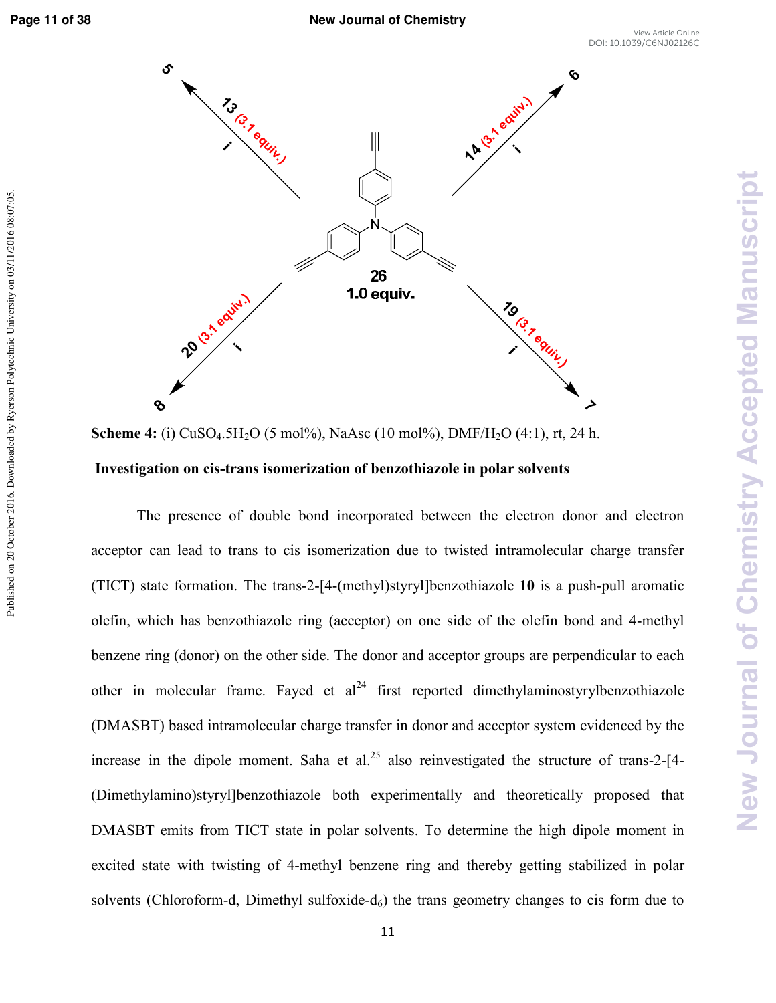Published on 20 October 2016. Downloaded by Ryerson Polytechnic University on 03/11/2016 08:07:05



**Scheme 4:** (i) CuSO<sub>4</sub>.5H<sub>2</sub>O (5 mol%), NaAsc (10 mol%), DMF/H<sub>2</sub>O (4:1), rt, 24 h.  **Investigation on cistrans isomerization of benzothiazole in polar solvents** 

The presence of double bond incorporated between the electron donor and electron acceptor can lead to trans to cis isomerization due to twisted intramolecular charge transfer (TICT) state formation. The trans-2-[4-(methyl)styryl]benzothiazole  $10$  is a push-pull aromatic olefin, which has benzothiazole ring (acceptor) on one side of the olefin bond and 4-methyl benzene ring (donor) on the other side. The donor and acceptor groups are perpendicular to each other in molecular frame. Fayed et  $al<sup>24</sup>$  first reported dimethylaminostyrylbenzothiazole (DMASBT) based intramolecular charge transfer in donor and acceptor system evidenced by the increase in the dipole moment. Saha et al.<sup>25</sup> also reinvestigated the structure of trans-2-[4- $\frac{1}{2}$ (Dimethylamino)styryl]benzothiazole both experimentally and theoretically proposed that DMASBT emits from TICT state in polar solvents. To determine the high dipole moment in excited state with twisting of 4-methyl benzene ring and thereby getting stabilized in polar solvents (Chloroform-d, Dimethyl sulfoxide- $d_6$ ) the trans geometry changes to cis form due to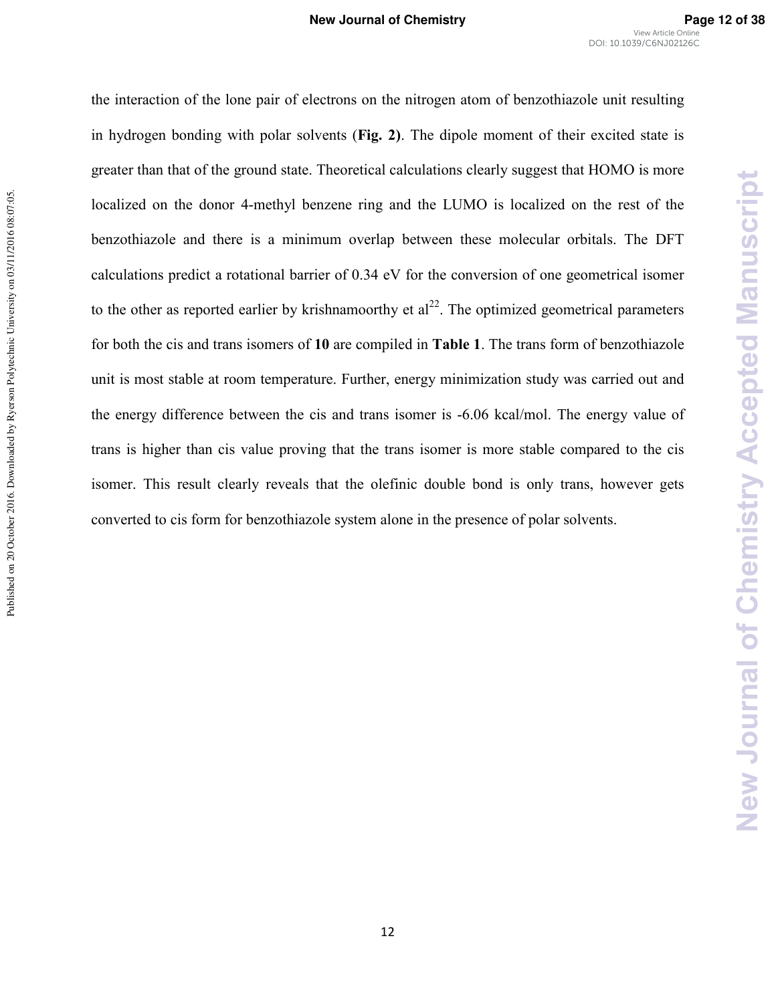the interaction of the lone pair of electrons on the nitrogen atom of benzothiazole unit resulting in hydrogen bonding with polar solvents (**Fig. 2)**. The dipole moment of their excited state is greater than that of the ground state. Theoretical calculations clearly suggest that HOMO is more localized on the donor 4-methyl benzene ring and the LUMO is localized on the rest of the benzothiazole and there is a minimum overlap between these molecular orbitals. The DFT calculations predict a rotational barrier of 0.34 eV for the conversion of one geometrical isomer to the other as reported earlier by krishnamoorthy et  $al^{22}$ . The optimized geometrical parameters for both the cis and trans isomers of **10** are compiled in **Table 1**. The trans form of benzothiazole unit is most stable at room temperature. Further, energy minimization study was carried out and the energy difference between the cis and trans isomer is -6.06 kcal/mol. The energy value of trans is higher than cis value proving that the trans isomer is more stable compared to the cis isomer. This result clearly reveals that the olefinic double bond is only trans, however gets converted to cis form for benzothiazole system alone in the presence of polar solvents.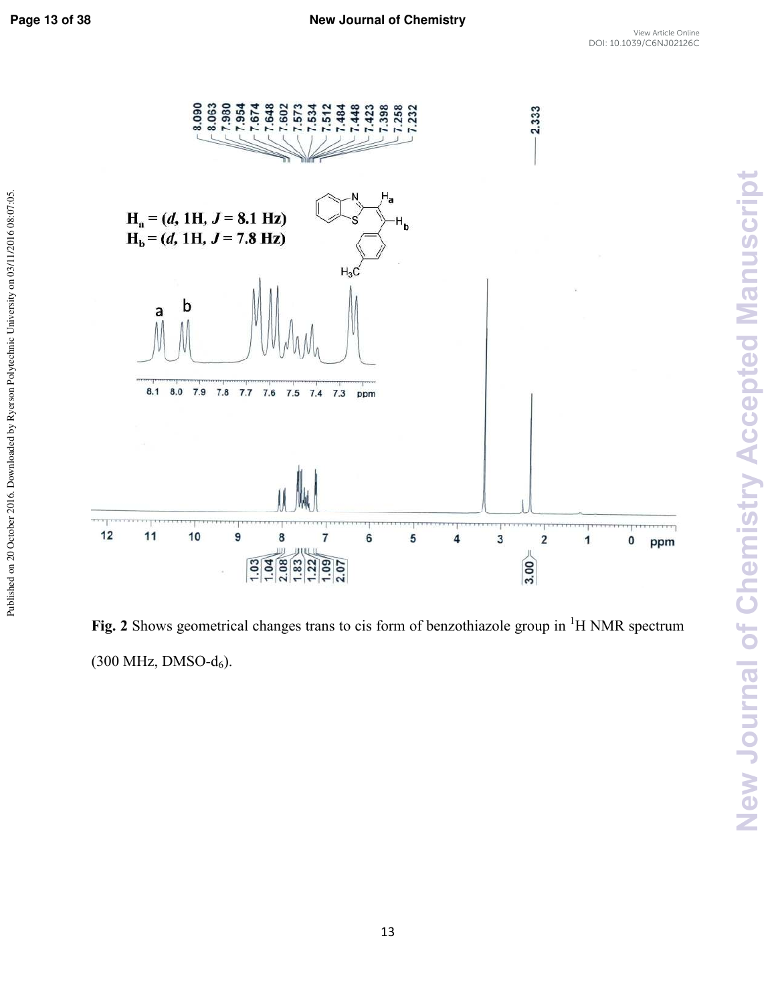New Journal of Chemistry Accepted Manuscript



Fig. 2 Shows geometrical changes trans to cis form of benzothiazole group in <sup>1</sup>H NMR spectrum  $(300$  MHz, DMSO- $d_6$ ).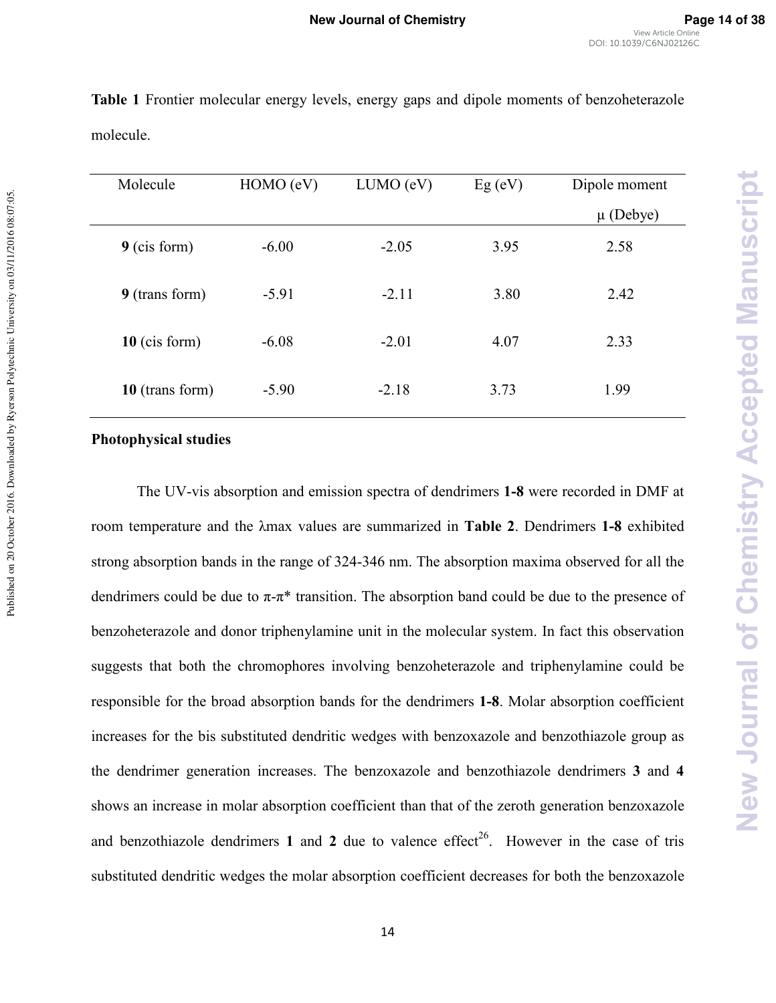| Molecule         | HOMO (eV) | LUMO (eV) | $Eg$ (eV) | Dipole moment |
|------------------|-----------|-----------|-----------|---------------|
|                  |           |           |           | $\mu$ (Debye) |
| $9$ (cis form)   | $-6.00$   | $-2.05$   | 3.95      | 2.58          |
| 9 (transform)    | $-5.91$   | $-2.11$   | 3.80      | 2.42          |
| $10$ (cis form)  | $-6.08$   | $-2.01$   | 4.07      | 2.33          |
| $10$ (transform) | $-5.90$   | $-2.18$   | 3.73      | 1.99          |

**Table 1** Frontier molecular energy levels, energy gaps and dipole moments of benzoheterazole molecule.

#### **Photophysical studies**

Published on 20 October 2016. Downloaded by Ryerson Polytechnic University on 03/11/2016 08:07:05.

Published on 20 October 2016. Downloaded by Ryerson Polytechnic University on 03/11/2016 08:07:05

The UV-vis absorption and emission spectra of dendrimers **1-8** were recorded in DMF at room temperature and the λmax values are summarized in **Table 2**. Dendrimers **18** exhibited strong absorption bands in the range of 324-346 nm. The absorption maxima observed for all the dendrimers could be due to  $\pi$ - $\pi$ <sup>\*</sup> transition. The absorption band could be due to the presence of benzoheterazole and donor triphenylamine unit in the molecular system. In fact this observation suggests that both the chromophores involving benzoheterazole and triphenylamine could be responsible for the broad absorption bands for the dendrimers **18**. Molar absorption coefficient increases for the bis substituted dendritic wedges with benzoxazole and benzothiazole group as the dendrimer generation increases. The benzoxazole and benzothiazole dendrimers **3** and **4**  shows an increase in molar absorption coefficient than that of the zeroth generation benzoxazole and benzothiazole dendrimers 1 and 2 due to valence effect<sup>26</sup>. However in the case of tris substituted dendritic wedges the molar absorption coefficient decreases for both the benzoxazole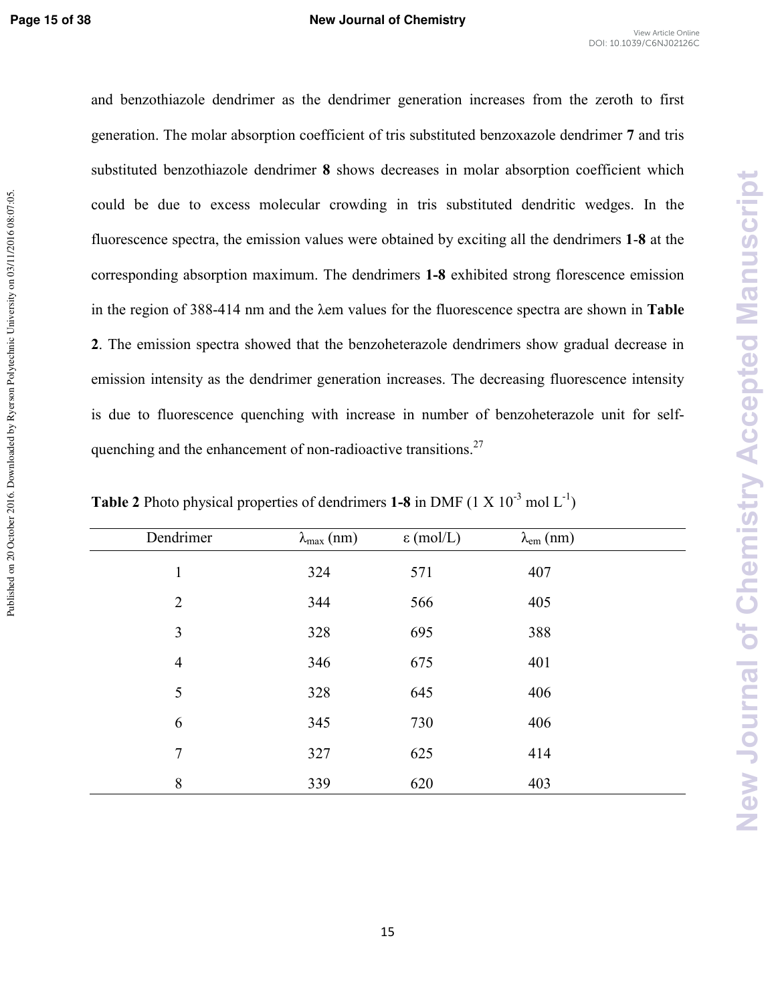Published on 20 October 2016. Downloaded by Ryerson Polytechnic University on 03/11/2016 08:07:05

and benzothiazole dendrimer as the dendrimer generation increases from the zeroth to first generation. The molar absorption coefficient of tris substituted benzoxazole dendrimer **7** and tris substituted benzothiazole dendrimer **8** shows decreases in molar absorption coefficient which could be due to excess molecular crowding in tris substituted dendritic wedges. In the fluorescence spectra, the emission values were obtained by exciting all the dendrimers **1**\***8** at the corresponding absorption maximum. The dendrimers **18** exhibited strong florescence emission in the region of 388\*414 nm and the λem values for the fluorescence spectra are shown in **Table 2**. The emission spectra showed that the benzoheterazole dendrimers show gradual decrease in emission intensity as the dendrimer generation increases. The decreasing fluorescence intensity is due to fluorescence quenching with increase in number of benzoheterazole unit for selfquenching and the enhancement of non-radioactive transitions.<sup>27</sup>

| Dendrimer      | $\lambda_{\text{max}}$ (nm) | $\epsilon$ (mol/L) | $\lambda_{\text{em}}$ (nm) |  |
|----------------|-----------------------------|--------------------|----------------------------|--|
| $\mathbf{1}$   | 324                         | 571                | 407                        |  |
| $\overline{2}$ | 344                         | 566                | 405                        |  |
| 3              | 328                         | 695                | 388                        |  |
| $\overline{4}$ | 346                         | 675                | 401                        |  |
| 5              | 328                         | 645                | 406                        |  |
| 6              | 345                         | 730                | 406                        |  |
| $\overline{7}$ | 327                         | 625                | 414                        |  |
| 8              | 339                         | 620                | 403                        |  |

**Table 2** Photo physical properties of dendrimers **1-8** in DMF (1 X  $10^{-3}$  mol L<sup>-1</sup>)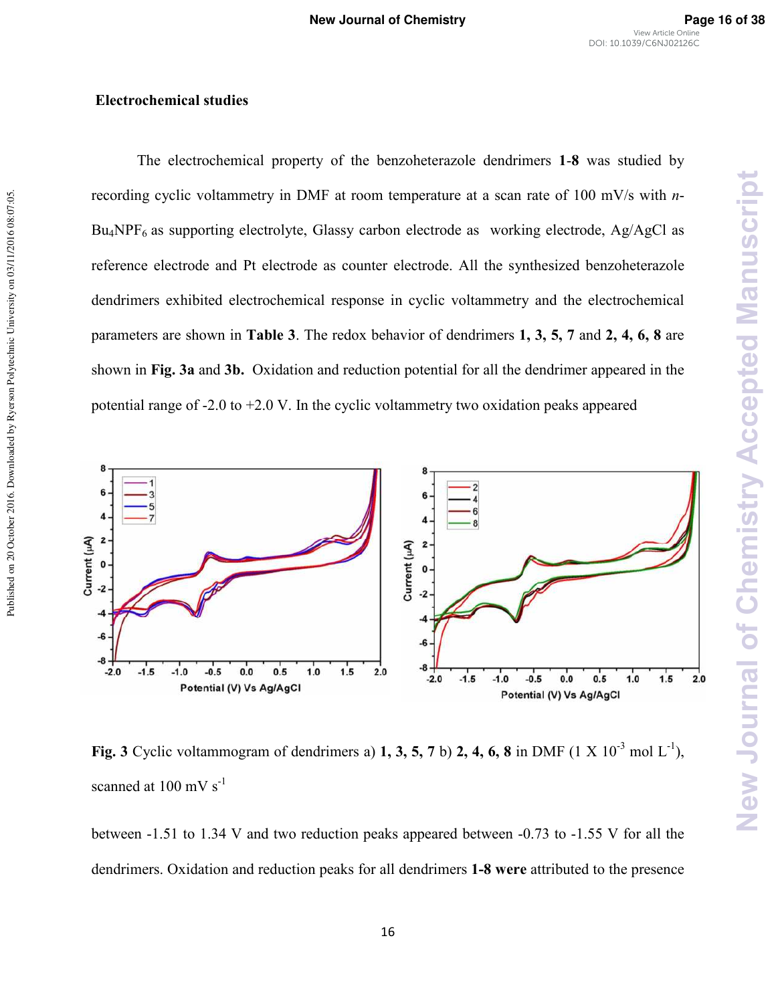New Journal of Chemistry Accepted Manuscript

#### **Electrochemical studies**

The electrochemical property of the benzoheterazole dendrimers **1**\***8** was studied by recording cyclic voltammetry in DMF at room temperature at a scan rate of 100 mV/s with *n*- $Bu<sub>4</sub>NPF<sub>6</sub>$  as supporting electrolyte, Glassy carbon electrode as working electrode, Ag/AgCl as reference electrode and Pt electrode as counter electrode. All the synthesized benzoheterazole dendrimers exhibited electrochemical response in cyclic voltammetry and the electrochemical parameters are shown in **Table 3**. The redox behavior of dendrimers **1, 3, 5, 7** and **2, 4, 6, 8** are shown in **Fig. 3a** and **3b.** Oxidation and reduction potential for all the dendrimer appeared in the potential range of  $-2.0$  to  $+2.0$  V. In the cyclic voltammetry two oxidation peaks appeared



**Fig. 3** Cyclic voltammogram of dendrimers a) **1, 3, 5, 7** b) **2, 4, 6, 8** in DMF (1 X  $10^{-3}$  mol L<sup>-1</sup>), scanned at  $100 \text{ mV s}^{-1}$ 

between  $-1.51$  to 1.34 V and two reduction peaks appeared between  $-0.73$  to  $-1.55$  V for all the dendrimers. Oxidation and reduction peaks for all dendrimers 1-8 were attributed to the presence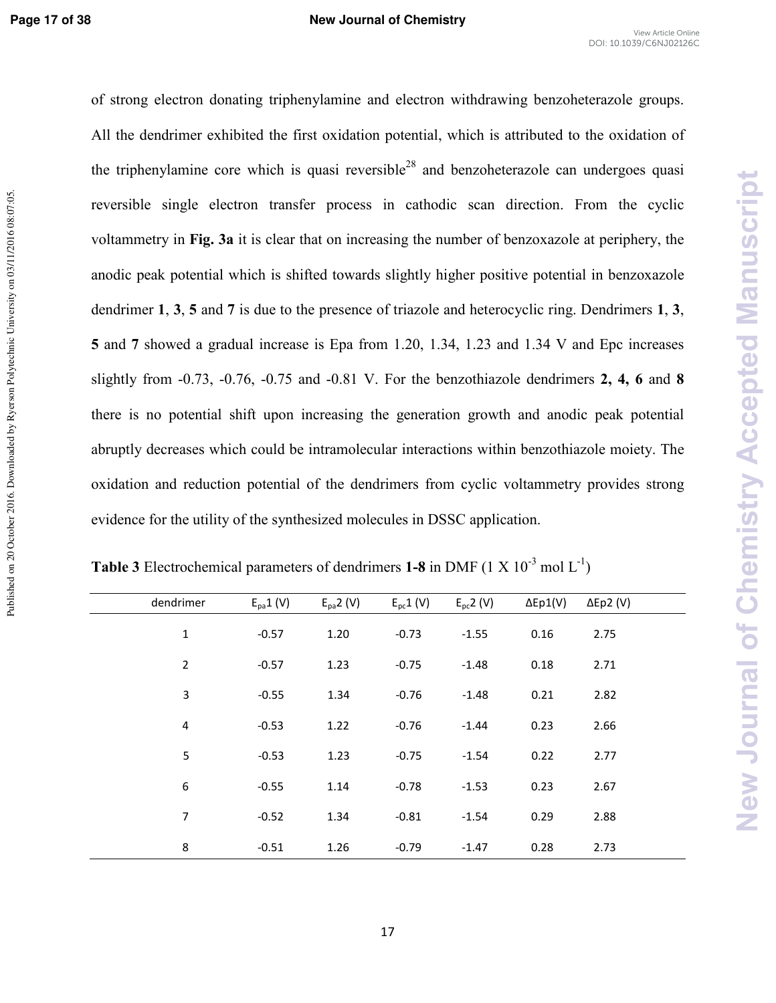Published on 20 October 2016. Downloaded by Ryerson Polytechnic University on 03/11/2016 08:07:05

of strong electron donating triphenylamine and electron withdrawing benzoheterazole groups. All the dendrimer exhibited the first oxidation potential, which is attributed to the oxidation of the triphenylamine core which is quasi reversible<sup>28</sup> and benzoheterazole can undergoes quasi reversible single electron transfer process in cathodic scan direction. From the cyclic voltammetry in **Fig. 3a** it is clear that on increasing the number of benzoxazole at periphery, the anodic peak potential which is shifted towards slightly higher positive potential in benzoxazole dendrimer **1**, **3**, **5** and **7** is due to the presence of triazole and heterocyclic ring. Dendrimers **1**, **3**, **5** and **7** showed a gradual increase is Epa from 1.20, 1.34, 1.23 and 1.34 V and Epc increases slightly from \*0.73, \*0.76, \*0.75 and \*0.81 V. For the benzothiazole dendrimers **2, 4, 6** and **8** there is no potential shift upon increasing the generation growth and anodic peak potential abruptly decreases which could be intramolecular interactions within benzothiazole moiety. The oxidation and reduction potential of the dendrimers from cyclic voltammetry provides strong evidence for the utility of the synthesized molecules in DSSC application.

| dendrimer      | $E_{pa}1(V)$ | $E_{pa}$ 2 (V) | $E_{\rm pc}$ 1 (V) | $E_{\rm pc}$ 2 (V) | $\Delta$ Ep1(V) | $\Delta$ Ep2 (V) |  |
|----------------|--------------|----------------|--------------------|--------------------|-----------------|------------------|--|
| $\mathbf 1$    | $-0.57$      | 1.20           | $-0.73$            | $-1.55$            | 0.16            | 2.75             |  |
| $\overline{2}$ | $-0.57$      | 1.23           | $-0.75$            | $-1.48$            | 0.18            | 2.71             |  |
| 3              | $-0.55$      | 1.34           | $-0.76$            | $-1.48$            | 0.21            | 2.82             |  |
| 4              | $-0.53$      | 1.22           | $-0.76$            | $-1.44$            | 0.23            | 2.66             |  |
| 5              | $-0.53$      | 1.23           | $-0.75$            | $-1.54$            | 0.22            | 2.77             |  |
| 6              | $-0.55$      | 1.14           | $-0.78$            | $-1.53$            | 0.23            | 2.67             |  |
| $\overline{7}$ | $-0.52$      | 1.34           | $-0.81$            | $-1.54$            | 0.29            | 2.88             |  |
| 8              | $-0.51$      | 1.26           | $-0.79$            | $-1.47$            | 0.28            | 2.73             |  |

**Table 3** Electrochemical parameters of dendrimers **1-8** in DMF (1 X  $10^{-3}$  mol L<sup>-1</sup>)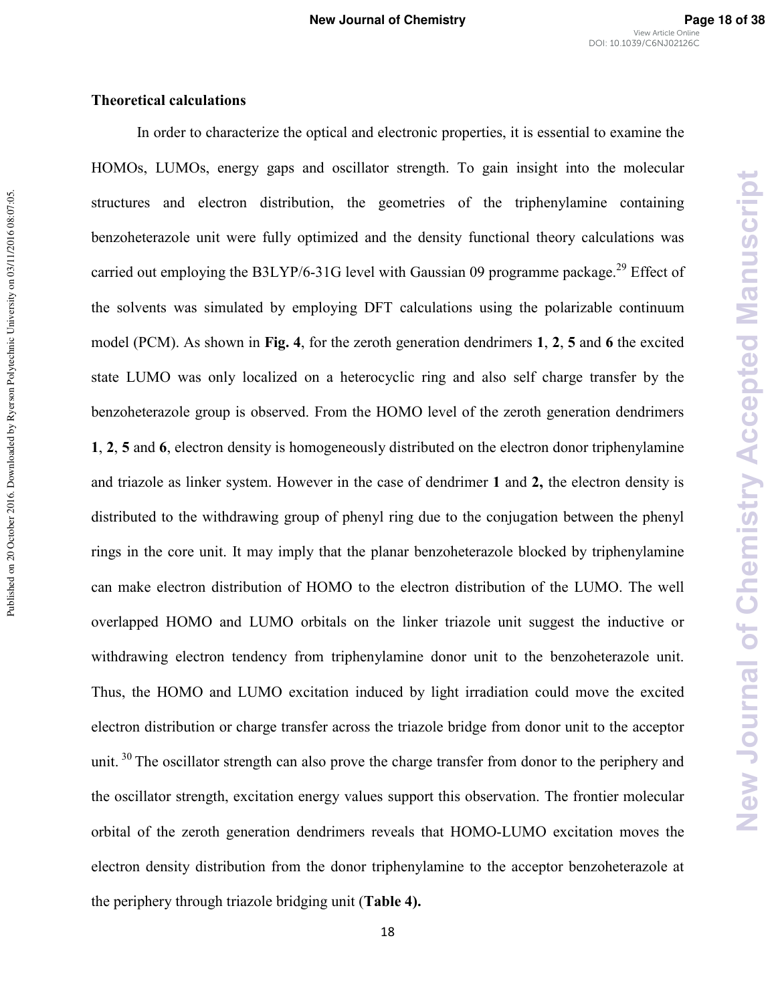New Journal of Chemistry Accepted Manuscript

#### **Theoretical calculations**

In order to characterize the optical and electronic properties, it is essential to examine the HOMOs, LUMOs, energy gaps and oscillator strength. To gain insight into the molecular structures and electron distribution, the geometries of the triphenylamine containing benzoheterazole unit were fully optimized and the density functional theory calculations was carried out employing the B3LYP/6-31G level with Gaussian 09 programme package.<sup>29</sup> Effect of the solvents was simulated by employing DFT calculations using the polarizable continuum model (PCM). As shown in **Fig. 4**, for the zeroth generation dendrimers **1**, **2**, **5** and **6** the excited state LUMO was only localized on a heterocyclic ring and also self charge transfer by the benzoheterazole group is observed. From the HOMO level of the zeroth generation dendrimers **1**, **2**, **5** and **6**, electron density is homogeneously distributed on the electron donor triphenylamine and triazole as linker system. However in the case of dendrimer **1** and **2,** the electron density is distributed to the withdrawing group of phenyl ring due to the conjugation between the phenyl rings in the core unit. It may imply that the planar benzoheterazole blocked by triphenylamine can make electron distribution of HOMO to the electron distribution of the LUMO. The well overlapped HOMO and LUMO orbitals on the linker triazole unit suggest the inductive or withdrawing electron tendency from triphenylamine donor unit to the benzoheterazole unit. Thus, the HOMO and LUMO excitation induced by light irradiation could move the excited electron distribution or charge transfer across the triazole bridge from donor unit to the acceptor unit.<sup>30</sup> The oscillator strength can also prove the charge transfer from donor to the periphery and the oscillator strength, excitation energy values support this observation. The frontier molecular orbital of the zeroth generation dendrimers reveals that HOMO\*LUMO excitation moves the electron density distribution from the donor triphenylamine to the acceptor benzoheterazole at the periphery through triazole bridging unit (**Table 4).**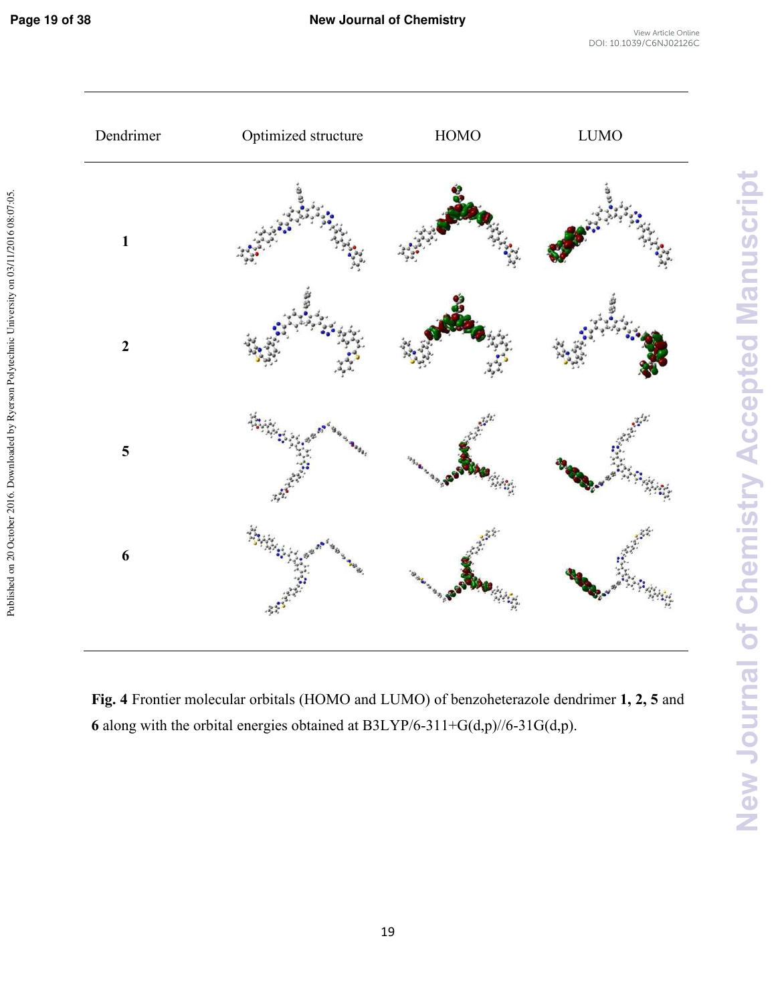

**Fig. 4** Frontier molecular orbitals (HOMO and LUMO) of benzoheterazole dendrimer **1, 2, 5** and **6** along with the orbital energies obtained at B3LYP/6-311+G(d,p)//6-31G(d,p).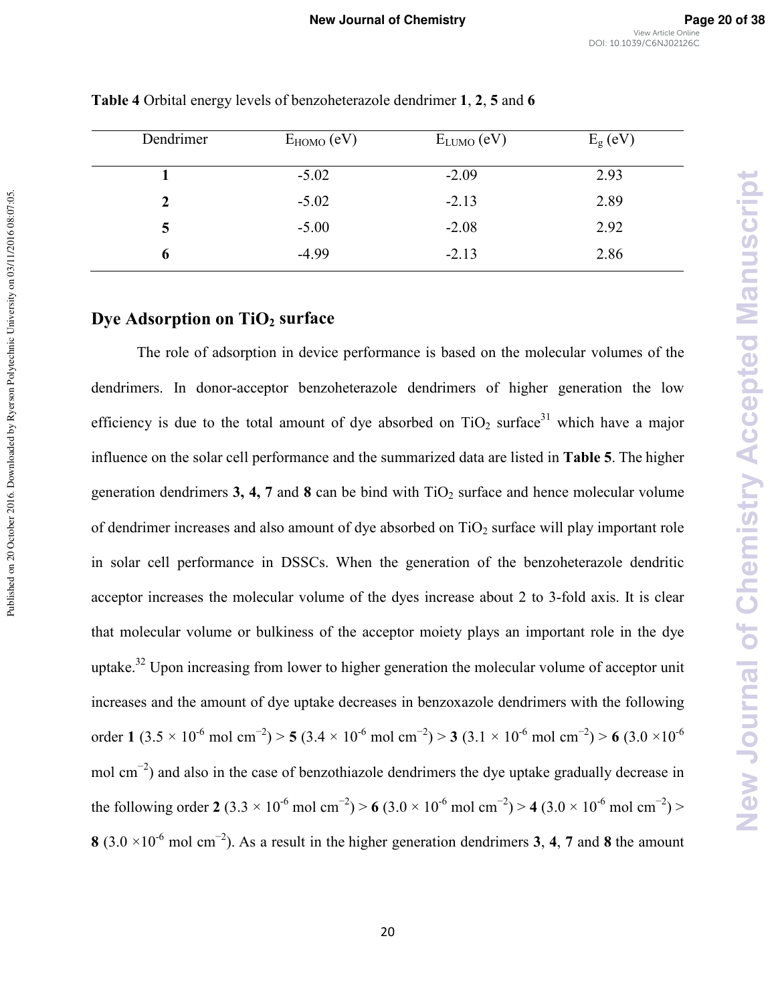| Dendrimer | $E_{HOMO}$ (eV) | $E_{LUMO}$ (eV) | $E_{\rm g}$ (eV) |
|-----------|-----------------|-----------------|------------------|
|           | $-5.02$         | $-2.09$         | 2.93             |
|           | $-5.02$         | $-2.13$         | 2.89             |
| 5         | $-5.00$         | $-2.08$         | 2.92             |
| o         | $-4.99$         | $-2.13$         | 2.86             |

**Table 4** Orbital energy levels of benzoheterazole dendrimer **1**, **2**, **5** and **6**

# **Dye Adsorption on TiO2 surface**

Published on 20 October 2016. Downloaded by Ryerson Polytechnic University on 03/11/2016 08:07:05.

Published on 20 October 2016. Downloaded by Ryerson Polytechnic University on 03/11/2016 08:07:05

The role of adsorption in device performance is based on the molecular volumes of the dendrimers. In donor-acceptor benzoheterazole dendrimers of higher generation the low efficiency is due to the total amount of dye absorbed on  $TiO<sub>2</sub>$  surface<sup>31</sup> which have a major influence on the solar cell performance and the summarized data are listed in **Table 5**. The higher generation dendrimers **3, 4, 7** and **8** can be bind with  $TiO<sub>2</sub>$  surface and hence molecular volume of dendrimer increases and also amount of dye absorbed on  $TiO<sub>2</sub>$  surface will play important role in solar cell performance in DSSCs. When the generation of the benzoheterazole dendritic acceptor increases the molecular volume of the dyes increase about 2 to 3-fold axis. It is clear that molecular volume or bulkiness of the acceptor moiety plays an important role in the dye uptake.<sup>32</sup> Upon increasing from lower to higher generation the molecular volume of acceptor unit increases and the amount of dye uptake decreases in benzoxazole dendrimers with the following order **1**  $(3.5 \times 10^{-6} \text{ mol cm}^{-2})$  > **5**  $(3.4 \times 10^{-6} \text{ mol cm}^{-2})$  > **3**  $(3.1 \times 10^{-6} \text{ mol cm}^{-2})$  > **6**  $(3.0 \times 10^{-6} \text{ mol cm}^{-2})$ mol cm<sup>-2</sup>) and also in the case of benzothiazole dendrimers the dye uptake gradually decrease in the following order **2** (3.3 × 10<sup>-6</sup> mol cm<sup>-2</sup>) > **6** (3.0 × 10<sup>-6</sup> mol cm<sup>-2</sup>) > **4** (3.0 × 10<sup>-6</sup> mol cm<sup>-2</sup>) > **8** (3.0 ×10\*6 mol cm−2). As a result in the higher generation dendrimers **3**, **4**, **7** and **8** the amount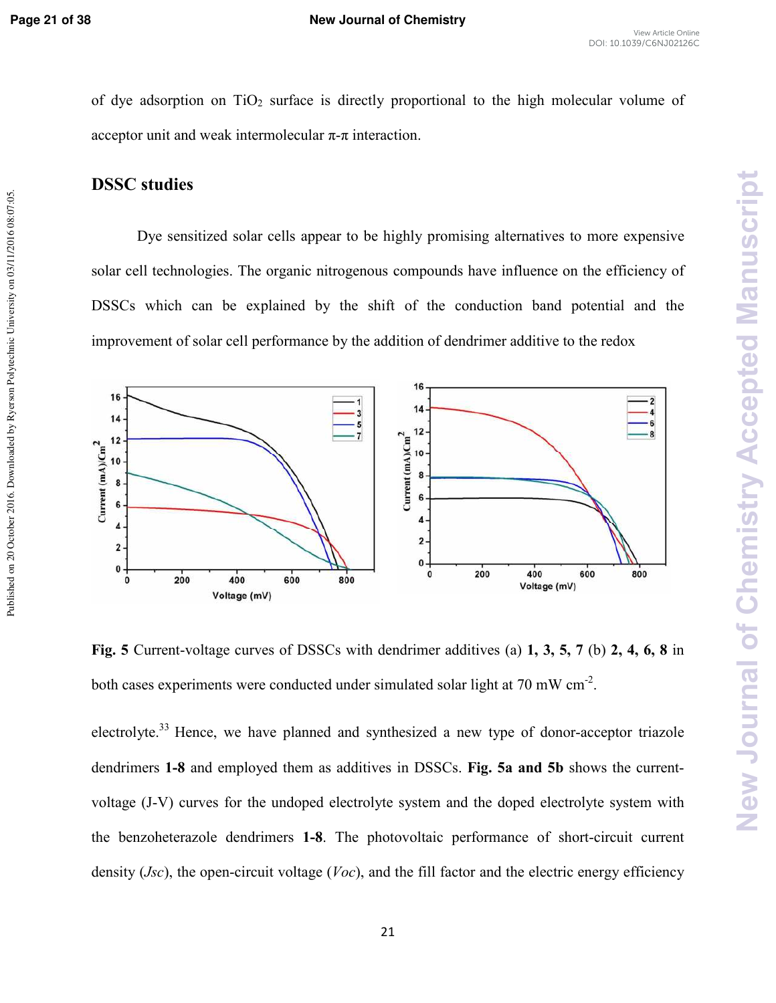Published on 20 October 2016. Downloaded by Ryerson Polytechnic University on 03/11/2016 08:07:05

of dye adsorption on  $TiO<sub>2</sub>$  surface is directly proportional to the high molecular volume of acceptor unit and weak intermolecular  $\pi$ -π interaction.

# **DSSC studies**

Dye sensitized solar cells appear to be highly promising alternatives to more expensive solar cell technologies. The organic nitrogenous compounds have influence on the efficiency of DSSCs which can be explained by the shift of the conduction band potential and the improvement of solar cell performance by the addition of dendrimer additive to the redox



Fig. 5 Current-voltage curves of DSSCs with dendrimer additives (a) 1, 3, 5, 7 (b) 2, 4, 6, 8 in both cases experiments were conducted under simulated solar light at 70 mW  $cm<sup>-2</sup>$ .

electrolyte.<sup>33</sup> Hence, we have planned and synthesized a new type of donor-acceptor triazole dendrimers **1-8** and employed them as additives in DSSCs. Fig. 5a and 5b shows the currentvoltage (J-V) curves for the undoped electrolyte system and the doped electrolyte system with the benzoheterazole dendrimers **1-8**. The photovoltaic performance of short-circuit current density (*Jsc*), the open-circuit voltage (*Voc*), and the fill factor and the electric energy efficiency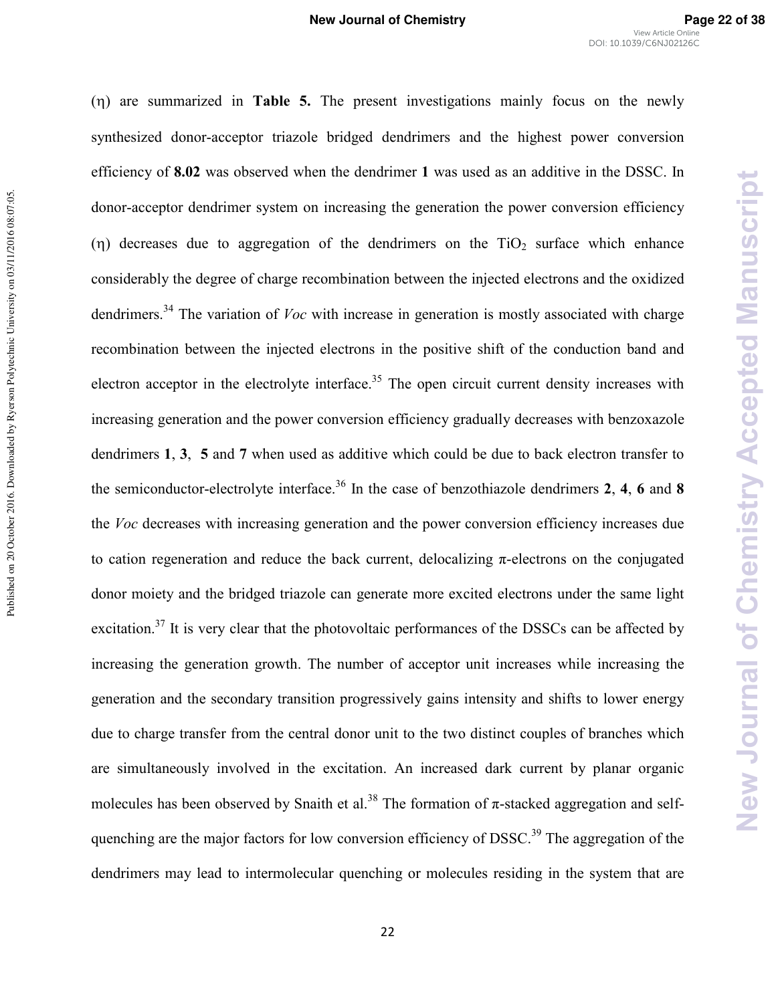(η) are summarized in **Table 5.** The present investigations mainly focus on the newly synthesized donor-acceptor triazole bridged dendrimers and the highest power conversion efficiency of **8.02** was observed when the dendrimer **1** was used as an additive in the DSSC. In donor-acceptor dendrimer system on increasing the generation the power conversion efficiency (η) decreases due to aggregation of the dendrimers on the  $TiO<sub>2</sub>$  surface which enhance considerably the degree of charge recombination between the injected electrons and the oxidized dendrimers.<sup>34</sup> The variation of *Voc* with increase in generation is mostly associated with charge recombination between the injected electrons in the positive shift of the conduction band and electron acceptor in the electrolyte interface.<sup>35</sup> The open circuit current density increases with increasing generation and the power conversion efficiency gradually decreases with benzoxazole dendrimers **1**, **3**, **5** and **7** when used as additive which could be due to back electron transfer to the semiconductor-electrolyte interface.<sup>36</sup> In the case of benzothiazole dendrimers  $2, 4, 6$  and  $8$ the *Voc* decreases with increasing generation and the power conversion efficiency increases due to cation regeneration and reduce the back current, delocalizing  $\pi$ -electrons on the conjugated donor moiety and the bridged triazole can generate more excited electrons under the same light excitation.<sup>37</sup> It is very clear that the photovoltaic performances of the DSSCs can be affected by increasing the generation growth. The number of acceptor unit increases while increasing the generation and the secondary transition progressively gains intensity and shifts to lower energy due to charge transfer from the central donor unit to the two distinct couples of branches which are simultaneously involved in the excitation. An increased dark current by planar organic molecules has been observed by Snaith et al.<sup>38</sup> The formation of  $\pi$ -stacked aggregation and selfquenching are the major factors for low conversion efficiency of DSSC.<sup>39</sup> The aggregation of the dendrimers may lead to intermolecular quenching or molecules residing in the system that are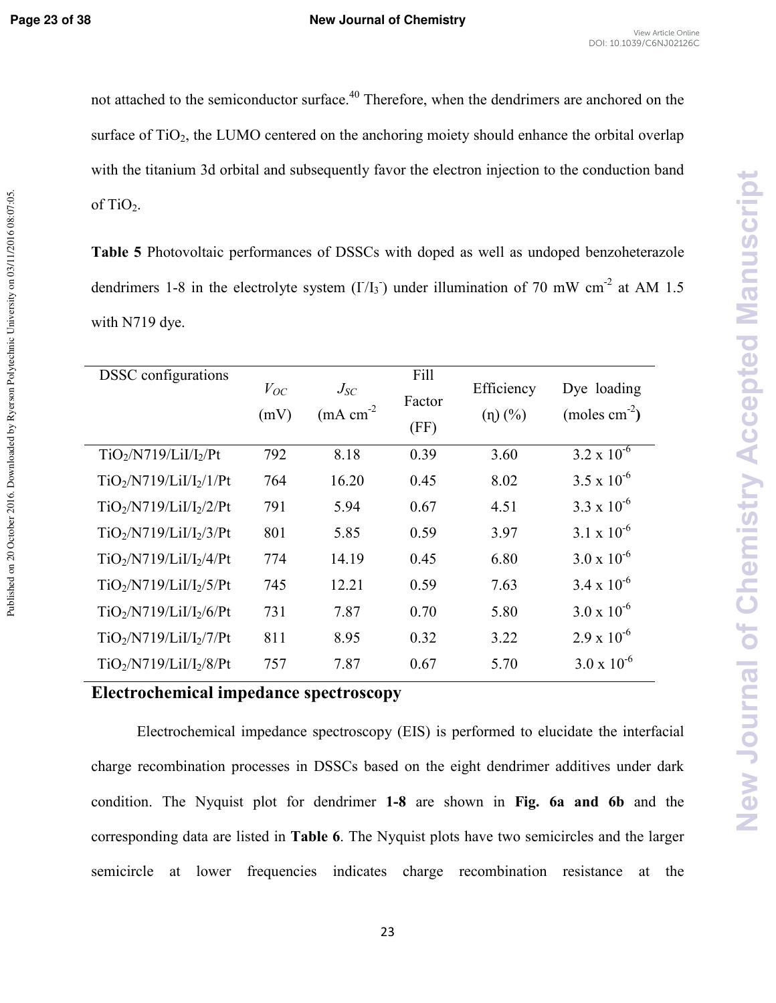Published on 20 October 2016. Downloaded by Ryerson Polytechnic University on 03/11/2016 08:07:05

not attached to the semiconductor surface.<sup>40</sup> Therefore, when the dendrimers are anchored on the surface of  $TiO<sub>2</sub>$ , the LUMO centered on the anchoring moiety should enhance the orbital overlap with the titanium 3d orbital and subsequently favor the electron injection to the conduction band of TiO<sub>2</sub>.

**Table 5** Photovoltaic performances of DSSCs with doped as well as undoped benzoheterazole dendrimers 1-8 in the electrolyte system  $(I/I_3)$  under illumination of 70 mW cm<sup>-2</sup> at AM 1.5 with N719 dye.

| <b>DSSC</b> configurations | $V_{OC}$<br>(mV) | $J_{SC}$<br>$(mA cm-2)$ | Fill<br>Factor<br>(FF) | Efficiency<br>$(\eta)$ $(\%)$ | Dye loading<br>(moles $cm^{-2}$ ) |
|----------------------------|------------------|-------------------------|------------------------|-------------------------------|-----------------------------------|
| $TiO2/N719/LiI/I2/Pt$      | 792              | 8.18                    | 0.39                   | 3.60                          | $3.2 \times 10^{-6}$              |
| $TiO_2/N719/LiI/I_2/1/Pt$  | 764              | 16.20                   | 0.45                   | 8.02                          | $3.5 \times 10^{-6}$              |
| $TiO2/N719/LiI/I2/2/Pt$    | 791              | 5.94                    | 0.67                   | 4.51                          | $3.3 \times 10^{-6}$              |
| $TiO2/N719/LiI/I2/3/Pt$    | 801              | 5.85                    | 0.59                   | 3.97                          | $3.1 \times 10^{-6}$              |
| $TiO2/N719/LiI/I2/4/Pt$    | 774              | 14.19                   | 0.45                   | 6.80                          | $3.0 \times 10^{-6}$              |
| $TiO2/N719/LiI/I2/5/Pt$    | 745              | 12.21                   | 0.59                   | 7.63                          | $3.4 \times 10^{-6}$              |
| $TiO2/N719/LiI/I2/6/Pt$    | 731              | 7.87                    | 0.70                   | 5.80                          | $3.0 \times 10^{-6}$              |
| $TiO2/N719/LiI/I2/7/Pt$    | 811              | 8.95                    | 0.32                   | 3.22                          | $2.9 \times 10^{-6}$              |
| $TiO2/N719/LiI/I2/8/Pt$    | 757              | 7.87                    | 0.67                   | 5.70                          | $3.0 \times 10^{-6}$              |

**Electrochemical impedance spectroscopy** 

Electrochemical impedance spectroscopy (EIS) is performed to elucidate the interfacial charge recombination processes in DSSCs based on the eight dendrimer additives under dark condition. The Nyquist plot for dendrimer **18** are shown in **Fig. 6a and 6b** and the corresponding data are listed in **Table 6**. The Nyquist plots have two semicircles and the larger semicircle at lower frequencies indicates charge recombination resistance at the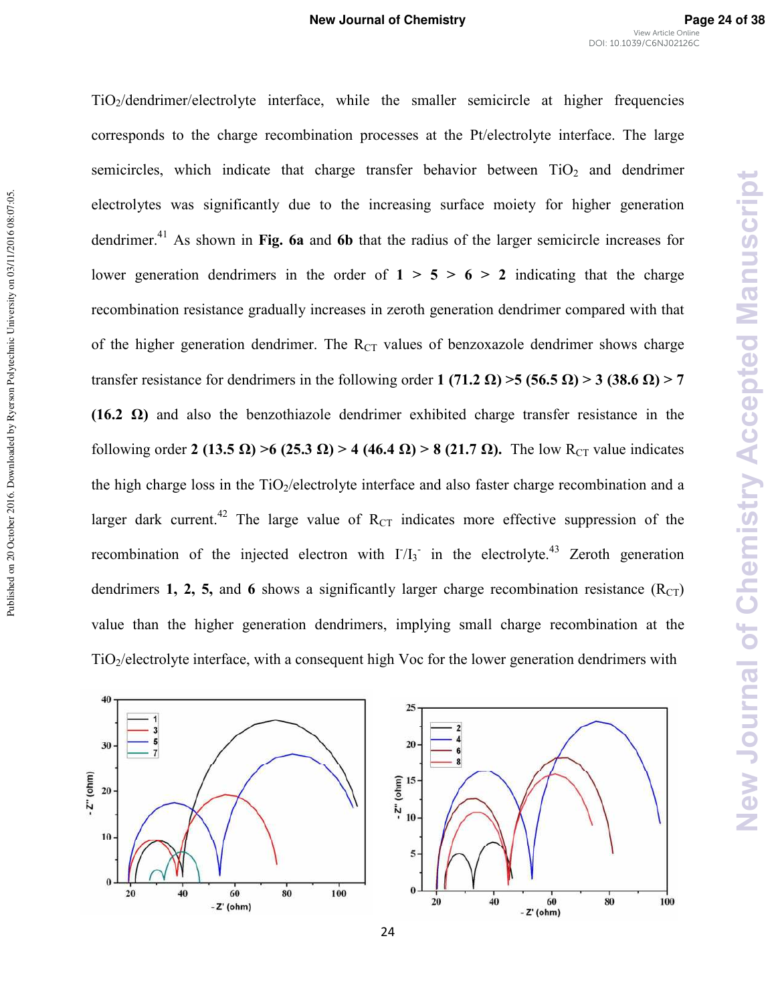New Journal of Chemistry Accepted Manuscript

TiO2/dendrimer/electrolyte interface, while the smaller semicircle at higher frequencies corresponds to the charge recombination processes at the Pt/electrolyte interface. The large semicircles, which indicate that charge transfer behavior between  $TiO<sub>2</sub>$  and dendrimer electrolytes was significantly due to the increasing surface moiety for higher generation dendrimer.<sup>41</sup> As shown in Fig. 6a and 6b that the radius of the larger semicircle increases for lower generation dendrimers in the order of  $1 > 5 > 6 > 2$  indicating that the charge recombination resistance gradually increases in zeroth generation dendrimer compared with that of the higher generation dendrimer. The  $R_{CT}$  values of benzoxazole dendrimer shows charge transfer resistance for dendrimers in the following order 1 (71.2  $\Omega$ ) > 5 (56.5  $\Omega$ ) > 3 (38.6  $\Omega$ ) > 7 **(16.2**  $\Omega$ **)** and also the benzothiazole dendrimer exhibited charge transfer resistance in the following order 2 (13.5  $\Omega$ ) > 6 (25.3  $\Omega$ ) > 4 (46.4  $\Omega$ ) > 8 (21.7  $\Omega$ ). The low R<sub>CT</sub> value indicates the high charge loss in the  $TiO<sub>2</sub>/electrolyte interface$  and also faster charge recombination and a larger dark current.<sup>42</sup> The large value of  $R_{CT}$  indicates more effective suppression of the recombination of the injected electron with  $I/I_3$  in the electrolyte.<sup>43</sup> Zeroth generation dendrimers **1, 2, 5,** and 6 shows a significantly larger charge recombination resistance  $(R<sub>CT</sub>)$ value than the higher generation dendrimers, implying small charge recombination at the TiO2/electrolyte interface, with a consequent high Voc for the lower generation dendrimers with



24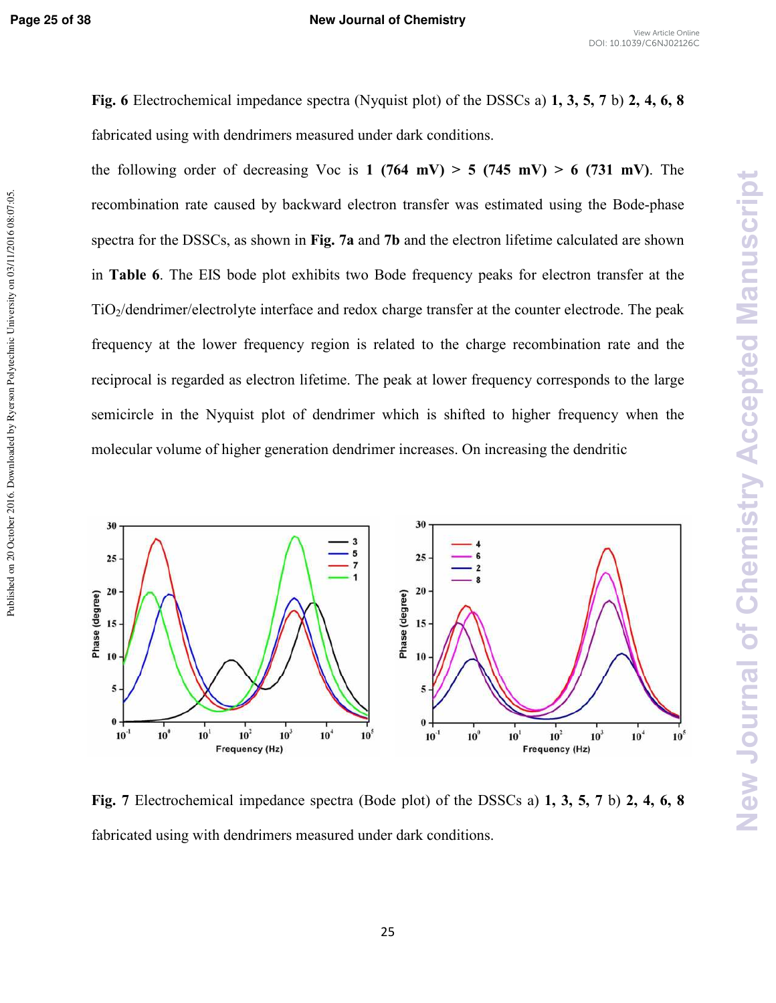Published on 20 October 2016. Downloaded by Ryerson Polytechnic University on 03/11/2016 08:07:05

**Fig. 6** Electrochemical impedance spectra (Nyquist plot) of the DSSCs a) **1, 3, 5, 7** b) **2, 4, 6, 8** fabricated using with dendrimers measured under dark conditions.

the following order of decreasing Voc is  $1$  (764 mV)  $> 5$  (745 mV)  $> 6$  (731 mV). The recombination rate caused by backward electron transfer was estimated using the Bode-phase spectra for the DSSCs, as shown in **Fig. 7a** and **7b** and the electron lifetime calculated are shown in **Table 6**. The EIS bode plot exhibits two Bode frequency peaks for electron transfer at the TiO2/dendrimer/electrolyte interface and redox charge transfer at the counter electrode. The peak frequency at the lower frequency region is related to the charge recombination rate and the reciprocal is regarded as electron lifetime. The peak at lower frequency corresponds to the large semicircle in the Nyquist plot of dendrimer which is shifted to higher frequency when the molecular volume of higher generation dendrimer increases. On increasing the dendritic



**Fig. 7** Electrochemical impedance spectra (Bode plot) of the DSSCs a) **1, 3, 5, 7** b) **2, 4, 6, 8** fabricated using with dendrimers measured under dark conditions.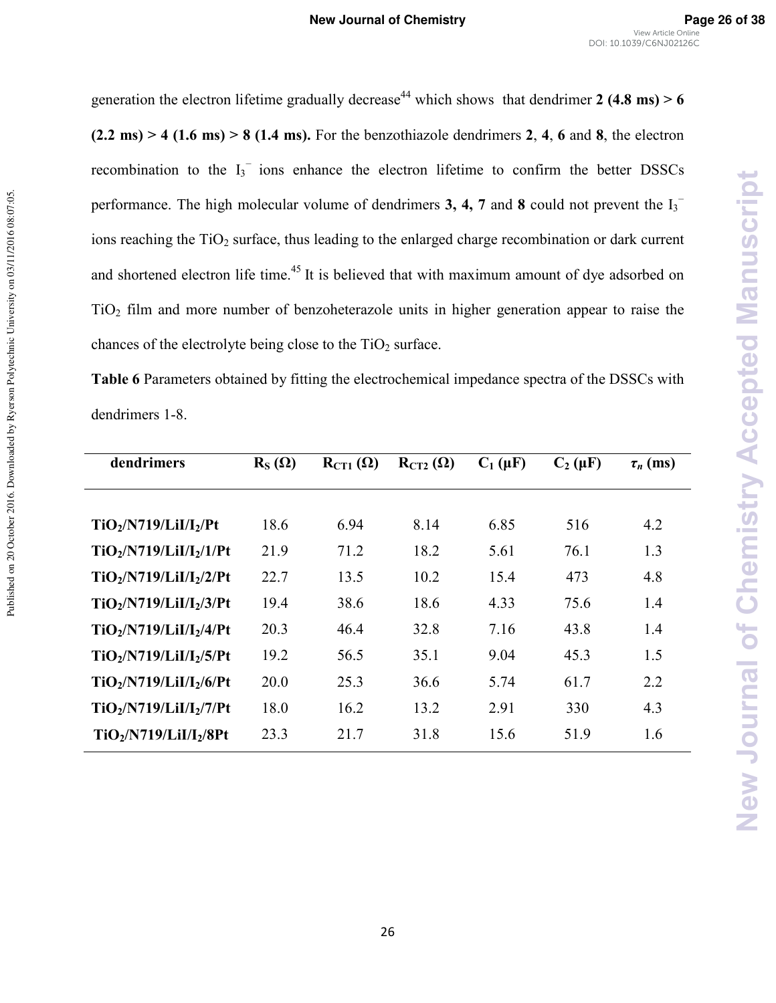generation the electron lifetime gradually decrease<sup>44</sup> which shows that dendrimer 2 (4.8 ms)  $> 6$  $(2.2 \text{ ms})$  > 4 (1.6 ms) > 8 (1.4 ms). For the benzothiazole dendrimers 2, 4, 6 and 8, the electron recombination to the  $I_3$ <sup>-</sup> ions enhance the electron lifetime to confirm the better DSSCs performance. The high molecular volume of dendrimers **3, 4, 7** and 8 could not prevent the  $I_3$ <sup>-</sup> ions reaching the  $TiO<sub>2</sub>$  surface, thus leading to the enlarged charge recombination or dark current and shortened electron life time.<sup>45</sup> It is believed that with maximum amount of dye adsorbed on  $TiO<sub>2</sub>$  film and more number of benzoheterazole units in higher generation appear to raise the chances of the electrolyte being close to the  $TiO<sub>2</sub>$  surface.

**Table 6** Parameters obtained by fitting the electrochemical impedance spectra of the DSSCs with dendrimers 1-8.

Published on 20 October 2016. Downloaded by Ryerson Polytechnic University on 03/11/2016 08:07:05.

Published on 20 October 2016. Downloaded by Ryerson Polytechnic University on 03/11/2016 08:07:05

| dendrimers              | $R_S(\Omega)$ | $R_{\text{CT1}}(\Omega)$ | $R_{CT2}(\Omega)$ | $C_1(\mu F)$ | $C_2(\mu F)$ | $\tau_n$ (ms) |
|-------------------------|---------------|--------------------------|-------------------|--------------|--------------|---------------|
|                         |               |                          |                   |              |              |               |
| $TiO2/N719/LiI/I2/Pt$   | 18.6          | 6.94                     | 8.14              | 6.85         | 516          | 4.2           |
| $TiO2/N719/LiI/I2/1/Pt$ | 21.9          | 71.2                     | 18.2              | 5.61         | 76.1         | 1.3           |
| $TiO2/N719/LiI/I2/2/Pt$ | 22.7          | 13.5                     | 10.2              | 15.4         | 473          | 4.8           |
| $TiO2/N719/LiI/I2/3/Pt$ | 19.4          | 38.6                     | 18.6              | 4.33         | 75.6         | 1.4           |
| $TiO2/N719/LiI/I2/4/Pt$ | 20.3          | 46.4                     | 32.8              | 7.16         | 43.8         | 1.4           |
| $TiO2/N719/LiI/I2/5/Pt$ | 19.2          | 56.5                     | 35.1              | 9.04         | 45.3         | 1.5           |
| $TiO2/N719/LiI/I2/6/Pt$ | 20.0          | 25.3                     | 36.6              | 5.74         | 61.7         | 2.2           |
| $TiO2/N719/LiI/I2/7/Pt$ | 18.0          | 16.2                     | 13.2              | 2.91         | 330          | 4.3           |
| $TiO2/N719/LiI/I2/8Pt$  | 23.3          | 21.7                     | 31.8              | 15.6         | 51.9         | 1.6           |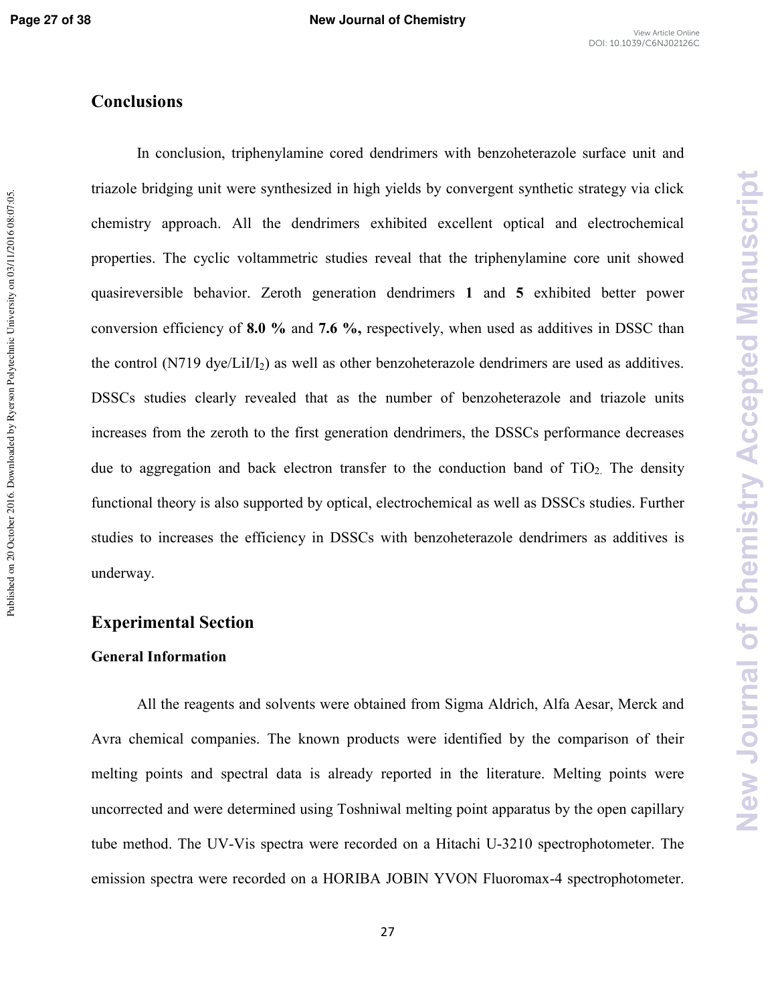New Journal of Chemistry Accepted Manuscript

# **Conclusions**

In conclusion, triphenylamine cored dendrimers with benzoheterazole surface unit and triazole bridging unit were synthesized in high yields by convergent synthetic strategy via click chemistry approach. All the dendrimers exhibited excellent optical and electrochemical properties. The cyclic voltammetric studies reveal that the triphenylamine core unit showed quasireversible behavior. Zeroth generation dendrimers **1** and **5** exhibited better power conversion efficiency of **8.0 %** and **7.6 %,** respectively, when used as additives in DSSC than the control (N719 dye/LiI/I<sub>2</sub>) as well as other benzoheterazole dendrimers are used as additives. DSSCs studies clearly revealed that as the number of benzoheterazole and triazole units increases from the zeroth to the first generation dendrimers, the DSSCs performance decreases due to aggregation and back electron transfer to the conduction band of  $TiO<sub>2</sub>$ . The density functional theory is also supported by optical, electrochemical as well as DSSCs studies. Further studies to increases the efficiency in DSSCs with benzoheterazole dendrimers as additives is underway.

## **Experimental Section**

#### **General Information**

All the reagents and solvents were obtained from Sigma Aldrich, Alfa Aesar, Merck and Avra chemical companies. The known products were identified by the comparison of their melting points and spectral data is already reported in the literature. Melting points were uncorrected and were determined using Toshniwal melting point apparatus by the open capillary tube method. The UV-Vis spectra were recorded on a Hitachi U-3210 spectrophotometer. The emission spectra were recorded on a HORIBA JOBIN YVON Fluoromax-4 spectrophotometer.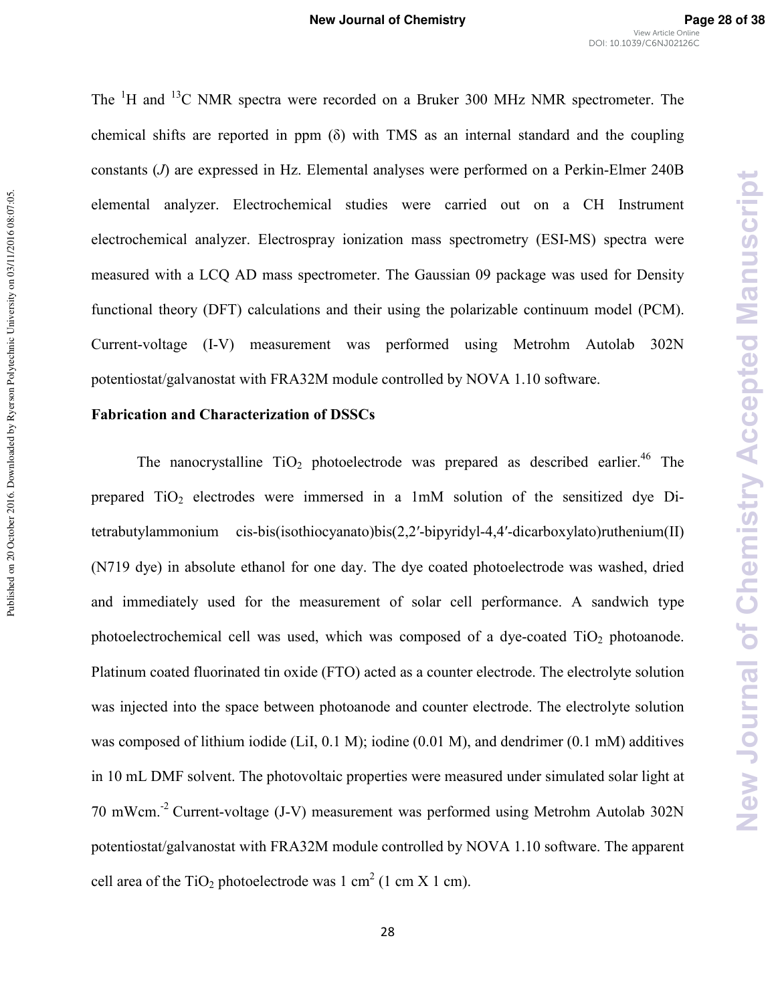The <sup>1</sup>H and <sup>13</sup>C NMR spectra were recorded on a Bruker 300 MHz NMR spectrometer. The chemical shifts are reported in ppm  $(\delta)$  with TMS as an internal standard and the coupling constants (*J*) are expressed in Hz. Elemental analyses were performed on a Perkin-Elmer 240B elemental analyzer. Electrochemical studies were carried out on a CH Instrument electrochemical analyzer. Electrospray ionization mass spectrometry (ESI-MS) spectra were measured with a LCQ AD mass spectrometer. The Gaussian 09 package was used for Density functional theory (DFT) calculations and their using the polarizable continuum model (PCM). Current-voltage (I-V) measurement was performed using Metrohm Autolab 302N potentiostat/galvanostat with FRA32M module controlled by NOVA 1.10 software.

#### **Fabrication and Characterization of DSSCs**

The nanocrystalline  $TiO<sub>2</sub>$  photoelectrode was prepared as described earlier.<sup>46</sup> The prepared  $TiO<sub>2</sub>$  electrodes were immersed in a 1mM solution of the sensitized dye Ditetrabutylammonium cis-bis(isothiocyanato)bis(2,2′-bipyridyl-4,4′-dicarboxylato)ruthenium(II) (N719 dye) in absolute ethanol for one day. The dye coated photoelectrode was washed, dried and immediately used for the measurement of solar cell performance. A sandwich type photoelectrochemical cell was used, which was composed of a dye-coated  $TiO<sub>2</sub>$  photoanode. Platinum coated fluorinated tin oxide (FTO) acted as a counter electrode. The electrolyte solution was injected into the space between photoanode and counter electrode. The electrolyte solution was composed of lithium iodide (LiI,  $0.1 \text{ M}$ ); iodine (0.01 M), and dendrimer (0.1 mM) additives in 10 mL DMF solvent. The photovoltaic properties were measured under simulated solar light at 70 mWcm.<sup>-2</sup> Current-voltage (J-V) measurement was performed using Metrohm Autolab 302N potentiostat/galvanostat with FRA32M module controlled by NOVA 1.10 software. The apparent cell area of the TiO<sub>2</sub> photoelectrode was 1 cm<sup>2</sup> (1 cm X 1 cm).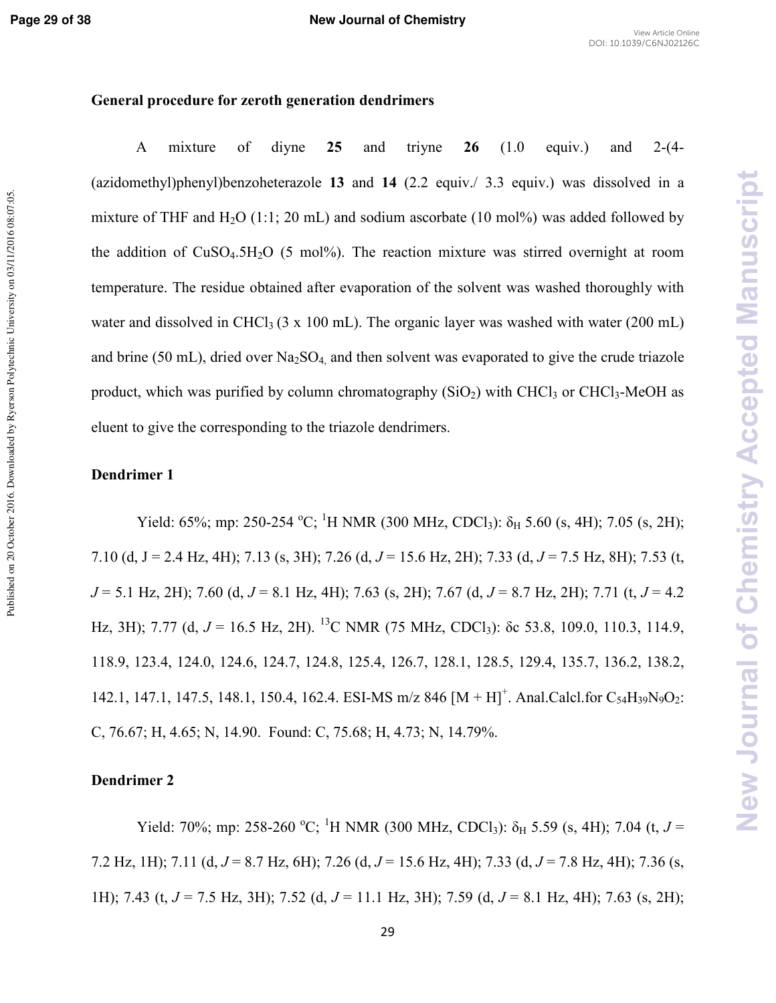Published on 20 October 2016. Downloaded by Ryerson Polytechnic University on 03/11/2016 08:07:05

#### **General procedure for zeroth generation dendrimers**

A mixture of diyne 25 and triyne 26 (1.0 equiv.) and 2-(4-(azidomethyl)phenyl)benzoheterazole **13** and **14** (2.2 equiv./ 3.3 equiv.) was dissolved in a mixture of THF and  $H_2O$  (1:1; 20 mL) and sodium ascorbate (10 mol%) was added followed by the addition of  $CuSO<sub>4</sub>5H<sub>2</sub>O$  (5 mol%). The reaction mixture was stirred overnight at room temperature. The residue obtained after evaporation of the solvent was washed thoroughly with water and dissolved in CHCl<sub>3</sub> (3 x 100 mL). The organic layer was washed with water (200 mL) and brine (50 mL), dried over  $Na<sub>2</sub>SO<sub>4</sub>$  and then solvent was evaporated to give the crude triazole product, which was purified by column chromatography  $(SiO<sub>2</sub>)$  with CHCl<sub>3</sub> or CHCl<sub>3</sub>-MeOH as eluent to give the corresponding to the triazole dendrimers.

#### **Dendrimer 1**

Yield: 65%; mp: 250-254 °C; <sup>1</sup>H NMR (300 MHz, CDCl<sub>3</sub>):  $\delta_H$  5.60 (s, 4H); 7.05 (s, 2H); 7.10 (d, J = 2.4 Hz, 4H); 7.13 (s, 3H); 7.26 (d, *(* = 15.6 Hz, 2H); 7.33 (d, *(* = 7.5 Hz, 8H); 7.53 (t,  $J = 5.1$  Hz, 2H); 7.60 (d,  $J = 8.1$  Hz, 4H); 7.63 (s, 2H); 7.67 (d,  $J = 8.7$  Hz, 2H); 7.71 (t,  $J = 4.2$ Hz, 3H); 7.77 (d,  $J = 16.5$  Hz, 2H). <sup>13</sup>C NMR (75 MHz, CDCl<sub>3</sub>): δc 53.8, 109.0, 110.3, 114.9, 118.9, 123.4, 124.0, 124.6, 124.7, 124.8, 125.4, 126.7, 128.1, 128.5, 129.4, 135.7, 136.2, 138.2, 142.1, 147.1, 147.5, 148.1, 150.4, 162.4. ESI-MS m/z 846  $[M + H]^{+}$ . Anal.Calcl.for C<sub>54</sub>H<sub>39</sub>N<sub>9</sub>O<sub>2</sub>: C, 76.67; H, 4.65; N, 14.90. Found: C, 75.68; H, 4.73; N, 14.79%.

#### **Dendrimer 2**

Yield: 70%; mp: 258-260 °C; <sup>1</sup>H NMR (300 MHz, CDCl<sub>3</sub>):  $\delta_H$  5.59 (s, 4H); 7.04 (t, *J* = 7.2 Hz, 1H); 7.11 (d,*(* = 8.7 Hz, 6H); 7.26 (d, *(* = 15.6 Hz, 4H); 7.33 (d, *(* = 7.8 Hz, 4H); 7.36 (s, 1H); 7.43 (t, *(* = 7.5 Hz, 3H); 7.52 (d, *(* = 11.1 Hz, 3H); 7.59 (d, *(* = 8.1 Hz, 4H); 7.63 (s, 2H);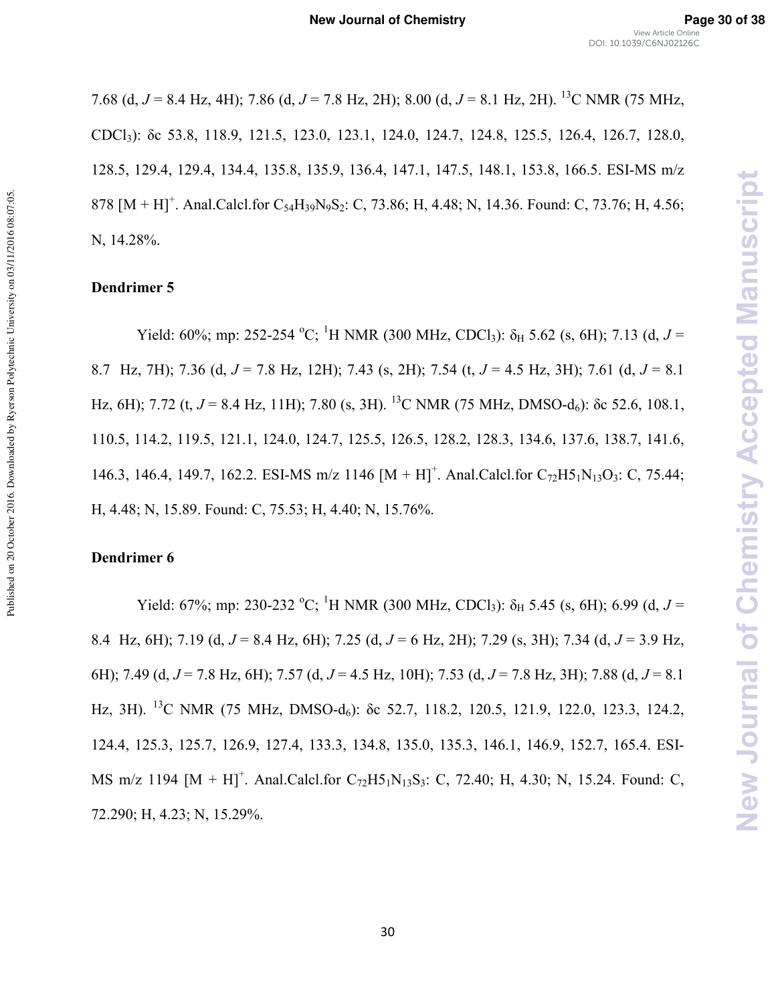7.68 (d, *(* = 8.4 Hz, 4H); 7.86 (d, *(* = 7.8 Hz, 2H); 8.00 (d, *(* = 8.1 Hz, 2H). <sup>13</sup>C NMR (75 MHz, CDCl3): δc 53.8, 118.9, 121.5, 123.0, 123.1, 124.0, 124.7, 124.8, 125.5, 126.4, 126.7, 128.0, 128.5, 129.4, 129.4, 134.4, 135.8, 135.9, 136.4, 147.1, 147.5, 148.1, 153.8, 166.5. ESI-MS m/z 878  $[M + H]$ <sup>+</sup>. Anal.Calcl.for C<sub>54</sub>H<sub>39</sub>N<sub>9</sub>S<sub>2</sub>: C, 73.86; H, 4.48; N, 14.36. Found: C, 73.76; H, 4.56; N, 14.28%.

#### **Dendrimer 5**

Published on 20 October 2016. Downloaded by Ryerson Polytechnic University on 03/11/2016 08:07:05.

Published on 20 October 2016. Downloaded by Ryerson Polytechnic University on 03/11/2016 08:07:05

Yield: 60%; mp: 252-254 °C; <sup>1</sup>H NMR (300 MHz, CDCl<sub>3</sub>):  $\delta_H$  5.62 (s, 6H); 7.13 (d, *J* = 8.7 Hz, 7H); 7.36 (d,*(* = 7.8 Hz, 12H); 7.43 (s, 2H); 7.54 (t, *(* = 4.5 Hz, 3H); 7.61 (d, *(* = 8.1 Hz, 6H); 7.72 (t,  $J = 8.4$  Hz, 11H); 7.80 (s, 3H). <sup>13</sup>C NMR (75 MHz, DMSO-d<sub>6</sub>): δc 52.6, 108.1, 110.5, 114.2, 119.5, 121.1, 124.0, 124.7, 125.5, 126.5, 128.2, 128.3, 134.6, 137.6, 138.7, 141.6, 146.3, 146.4, 149.7, 162.2. ESI-MS m/z 1146  $[M + H]^{+}$ . Anal.Calcl.for C<sub>72</sub>H5<sub>1</sub>N<sub>13</sub>O<sub>3</sub>: C, 75.44; H, 4.48; N, 15.89. Found: C, 75.53; H, 4.40; N, 15.76%.

#### **Dendrimer 6**

Yield: 67%; mp: 230-232 <sup>o</sup>C; <sup>1</sup>H NMR (300 MHz, CDCl<sub>3</sub>):  $\delta_H$  5.45 (s, 6H); 6.99 (d, *J* = 8.4 Hz, 6H); 7.19 (d,*(* = 8.4 Hz, 6H); 7.25 (d, *(* = 6 Hz, 2H); 7.29 (s, 3H); 7.34 (d, *(* = 3.9 Hz, 6H); 7.49 (d, *(* = 7.8 Hz, 6H); 7.57 (d, *(* = 4.5 Hz, 10H); 7.53 (d, *(* = 7.8 Hz, 3H); 7.88 (d, *(* = 8.1 Hz, 3H). <sup>13</sup>C NMR (75 MHz, DMSO-d<sub>6</sub>): δc 52.7, 118.2, 120.5, 121.9, 122.0, 123.3, 124.2, 124.4, 125.3, 125.7, 126.9, 127.4, 133.3, 134.8, 135.0, 135.3, 146.1, 146.9, 152.7, 165.4. ESI-MS m/z 1194  $[M + H]$ <sup>+</sup>. Anal.Calcl.for C<sub>72</sub>H5<sub>1</sub>N<sub>13</sub>S<sub>3</sub>: C, 72.40; H, 4.30; N, 15.24. Found: C, 72.290; H, 4.23; N, 15.29%.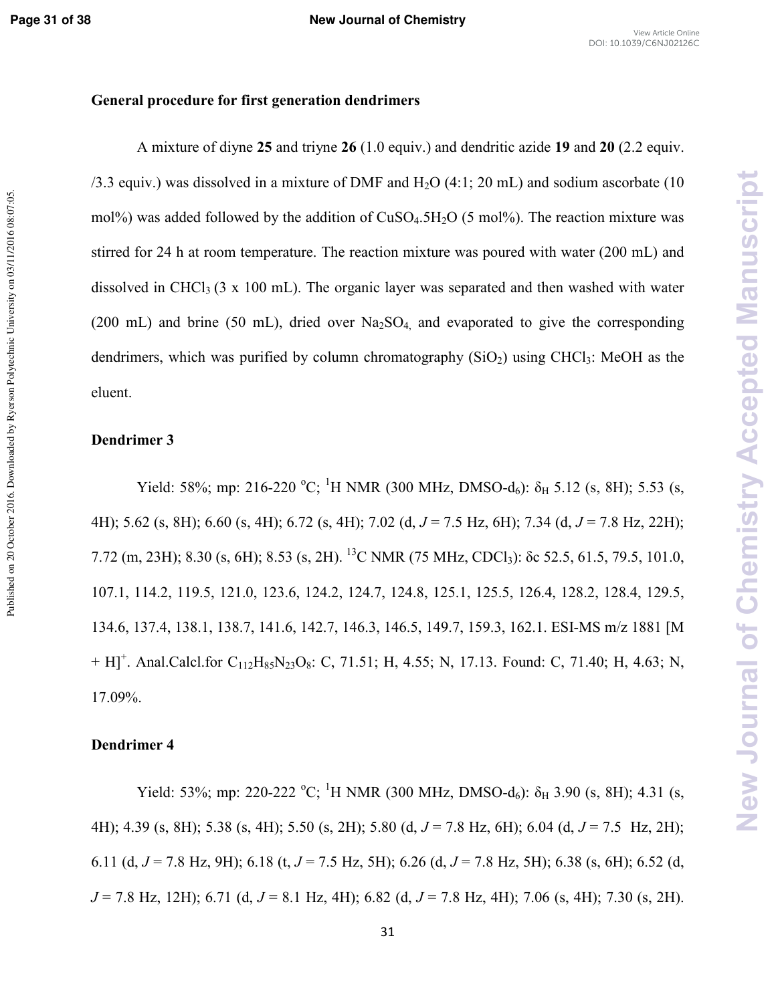## **General procedure for first generation dendrimers**

 A mixture of diyne **25** and triyne **26** (1.0 equiv.) and dendritic azide **19** and **20** (2.2 equiv.  $/3.3$  equiv.) was dissolved in a mixture of DMF and H<sub>2</sub>O  $(4:1; 20 \text{ mL})$  and sodium ascorbate (10) mol%) was added followed by the addition of  $CuSO<sub>4</sub>.5H<sub>2</sub>O$  (5 mol%). The reaction mixture was stirred for 24 h at room temperature. The reaction mixture was poured with water (200 mL) and dissolved in CHCl<sub>3</sub> (3 x 100 mL). The organic layer was separated and then washed with water (200 mL) and brine (50 mL), dried over  $Na<sub>2</sub>SO<sub>4</sub>$  and evaporated to give the corresponding dendrimers, which was purified by column chromatography  $(SiO<sub>2</sub>)$  using CHCl<sub>3</sub>: MeOH as the eluent.

#### **Dendrimer 3**

Yield: 58%; mp: 216-220 °C; <sup>1</sup>H NMR (300 MHz, DMSO-d<sub>6</sub>):  $\delta_H$  5.12 (s, 8H); 5.53 (s, 4H); 5.62 (s, 8H); 6.60 (s, 4H); 6.72 (s, 4H); 7.02 (d,*(* = 7.5 Hz, 6H); 7.34 (d, *(* = 7.8 Hz, 22H); 7.72 (m, 23H); 8.30 (s, 6H); 8.53 (s, 2H). <sup>13</sup>C NMR (75 MHz, CDCl3): δc 52.5, 61.5, 79.5, 101.0, 107.1, 114.2, 119.5, 121.0, 123.6, 124.2, 124.7, 124.8, 125.1, 125.5, 126.4, 128.2, 128.4, 129.5, 134.6, 137.4, 138.1, 138.7, 141.6, 142.7, 146.3, 146.5, 149.7, 159.3, 162.1. ESI-MS m/z 1881 [M  $+ H$ ]<sup>+</sup>. Anal.Calcl.for C<sub>112</sub>H<sub>85</sub>N<sub>23</sub>O<sub>8</sub>: C, 71.51; H, 4.55; N, 17.13. Found: C, 71.40; H, 4.63; N, 17.09%.

#### **Dendrimer 4**

Yield: 53%; mp: 220-222 °C; <sup>1</sup>H NMR (300 MHz, DMSO-d<sub>6</sub>):  $\delta_H$  3.90 (s, 8H); 4.31 (s, 4H); 4.39 (s, 8H); 5.38 (s, 4H); 5.50 (s, 2H); 5.80 (d, *(* = 7.8 Hz, 6H); 6.04 (d, *(* = 7.5 Hz, 2H); 6.11 (d,  $J = 7.8$  Hz, 9H); 6.18 (t,  $J = 7.5$  Hz, 5H); 6.26 (d,  $J = 7.8$  Hz, 5H); 6.38 (s, 6H); 6.52 (d, *(* = 7.8 Hz, 12H); 6.71 (d, *(* = 8.1 Hz, 4H); 6.82 (d, *(* = 7.8 Hz, 4H); 7.06 (s, 4H); 7.30 (s, 2H).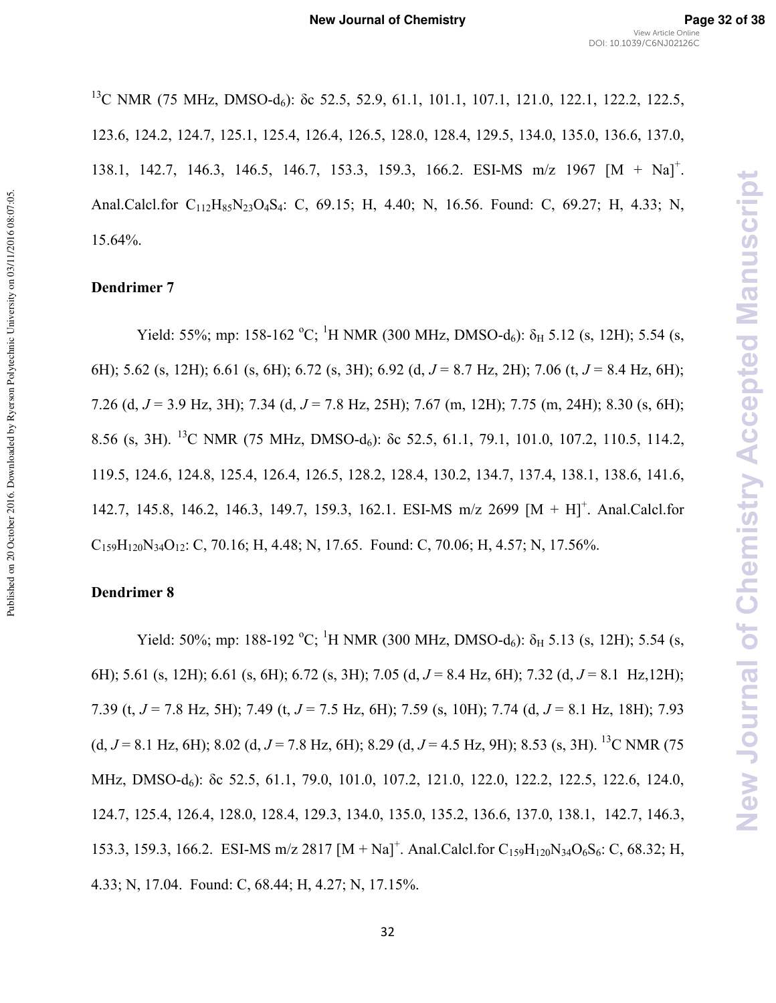<sup>13</sup>C NMR (75 MHz, DMSO-d<sub>6</sub>): δc 52.5, 52.9, 61.1, 101.1, 107.1, 121.0, 122.1, 122.2, 122.5, 123.6, 124.2, 124.7, 125.1, 125.4, 126.4, 126.5, 128.0, 128.4, 129.5, 134.0, 135.0, 136.6, 137.0, 138.1, 142.7, 146.3, 146.5, 146.7, 153.3, 159.3, 166.2. ESI-MS m/z 1967 [M + Na]<sup>+</sup>. Anal.Calcl.for C<sub>112</sub>H<sub>85</sub>N<sub>23</sub>O<sub>4</sub>S<sub>4</sub>: C, 69.15; H, 4.40; N, 16.56. Found: C, 69.27; H, 4.33; N, 15.64%.

#### **Dendrimer 7**

Yield: 55%; mp: 158-162 °C; <sup>1</sup>H NMR (300 MHz, DMSO-d<sub>6</sub>):  $\delta_H$  5.12 (s, 12H); 5.54 (s, 6H); 5.62 (s, 12H); 6.61 (s, 6H); 6.72 (s, 3H); 6.92 (d,*(* = 8.7 Hz, 2H); 7.06 (t, *(* = 8.4 Hz, 6H); 7.26 (d,*(* = 3.9 Hz, 3H); 7.34 (d, *(* = 7.8 Hz, 25H); 7.67 (m, 12H); 7.75 (m, 24H); 8.30 (s, 6H); 8.56 (s, 3H). <sup>13</sup>C NMR (75 MHz, DMSO-d<sub>6</sub>): δc 52.5, 61.1, 79.1, 101.0, 107.2, 110.5, 114.2, 119.5, 124.6, 124.8, 125.4, 126.4, 126.5, 128.2, 128.4, 130.2, 134.7, 137.4, 138.1, 138.6, 141.6, 142.7, 145.8, 146.2, 146.3, 149.7, 159.3, 162.1. ESI-MS m/z 2699 [M + H]<sup>+</sup>. Anal.Calcl.for  $C_{159}H_{120}N_{34}O_{12}$ : C, 70.16; H, 4.48; N, 17.65. Found: C, 70.06; H, 4.57; N, 17.56%.

#### **Dendrimer 8**

Yield: 50%; mp: 188-192 °C; <sup>1</sup>H NMR (300 MHz, DMSO-d<sub>6</sub>):  $\delta_H$  5.13 (s, 12H); 5.54 (s, 6H); 5.61 (s, 12H); 6.61 (s, 6H); 6.72 (s, 3H); 7.05 (d, *(* = 8.4 Hz, 6H); 7.32 (d, *(* = 8.1 Hz,12H); 7.39 (t,*(* = 7.8 Hz, 5H); 7.49 (t, *(* = 7.5 Hz, 6H); 7.59 (s, 10H); 7.74 (d, *(* = 8.1 Hz, 18H); 7.93  $(d, J = 8.1 \text{ Hz}, 6\text{H})$ ; 8.02  $(d, J = 7.8 \text{ Hz}, 6\text{H})$ ; 8.29  $(d, J = 4.5 \text{ Hz}, 9\text{H})$ ; 8.53  $(s, 3\text{H})$ . <sup>13</sup>C NMR (75 MHz, DMSO-d<sub>6</sub>): δc 52.5, 61.1, 79.0, 101.0, 107.2, 121.0, 122.0, 122.2, 122.5, 122.6, 124.0, 124.7, 125.4, 126.4, 128.0, 128.4, 129.3, 134.0, 135.0, 135.2, 136.6, 137.0, 138.1, 142.7, 146.3, 153.3, 159.3, 166.2. ESI-MS m/z 2817  $[M + Na]<sup>+</sup>$ . Anal.Calcl.for C<sub>159</sub>H<sub>120</sub>N<sub>34</sub>O<sub>6</sub>S<sub>6</sub>: C, 68.32; H, 4.33; N, 17.04. Found: C, 68.44; H, 4.27; N, 17.15%.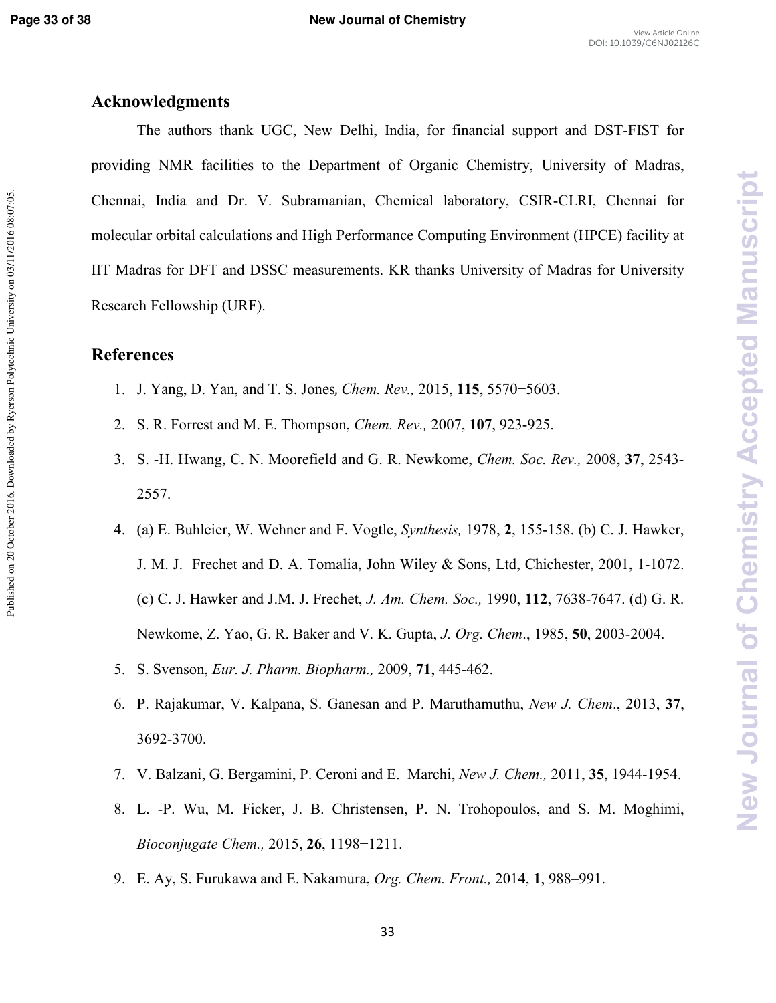**New Journal of Chemistry Accepted Manuscript** 

# **Acknowledgments**

The authors thank UGC, New Delhi, India, for financial support and DST-FIST for providing NMR facilities to the Department of Organic Chemistry, University of Madras, Chennai, India and Dr. V. Subramanian, Chemical laboratory, CSIR-CLRI, Chennai for molecular orbital calculations and High Performance Computing Environment (HPCE) facility at IIT Madras for DFT and DSSC measurements. KR thanks University of Madras for University Research Fellowship (URF).

# **References**

- 1. J. Yang, D. Yan, and T. S. Jones, *Chem. Rev.*, 2015, 115, 5570−5603.
- 2. S. R. Forrest and M. E. Thompson, *Chem. Rev.*, 2007, 107, 923-925.
- 3. S. -H. Hwang, C. N. Moorefield and G. R. Newkome, *Chem. Soc. Rev.*, 2008, 37, 2543-2557.
- 4. (a) E. Buhleier, W. Wehner and F. Vogtle, *Synthesis*, 1978, 2, 155-158. (b) C. J. Hawker, J. M. J. Frechet and D. A. Tomalia, John Wiley & Sons, Ltd, Chichester, 2001, 1\*1072. (c) C. J. Hawker and J.M. J. Frechet, *(%+%%) %* 1990, **112**, 7638\*7647. (d) G. R. Newkome, Z. Yao, G. R. Baker and V. K. Gupta, *J. Org. Chem.*, 1985, **50**, 2003-2004.
- 5. S. Svenson, *Eur. J. Pharm. Biopharm.*, 2009, 71, 445-462.
- 6. P. Rajakumar, V. Kalpana, S. Ganesan and P. Maruthamuthu, *'/(%*., 2013, **37**, 3692-3700.
- 7. V. Balzani, G. Bergamini, P. Ceroni and E. Marchi, *New J. Chem.*, 2011, 35, 1944-1954.
- 8. L. \*P. Wu, M. Ficker, J. B. Christensen, P. N. Trohopoulos, and S. M. Moghimi, *Bioconjugate Chem.,* 2015, **26**, 1198−1211.
- 9. E. Ay, S. Furukawa and E. Nakamura, *Org. Chem. Front.*, 2014, 1, 988–991.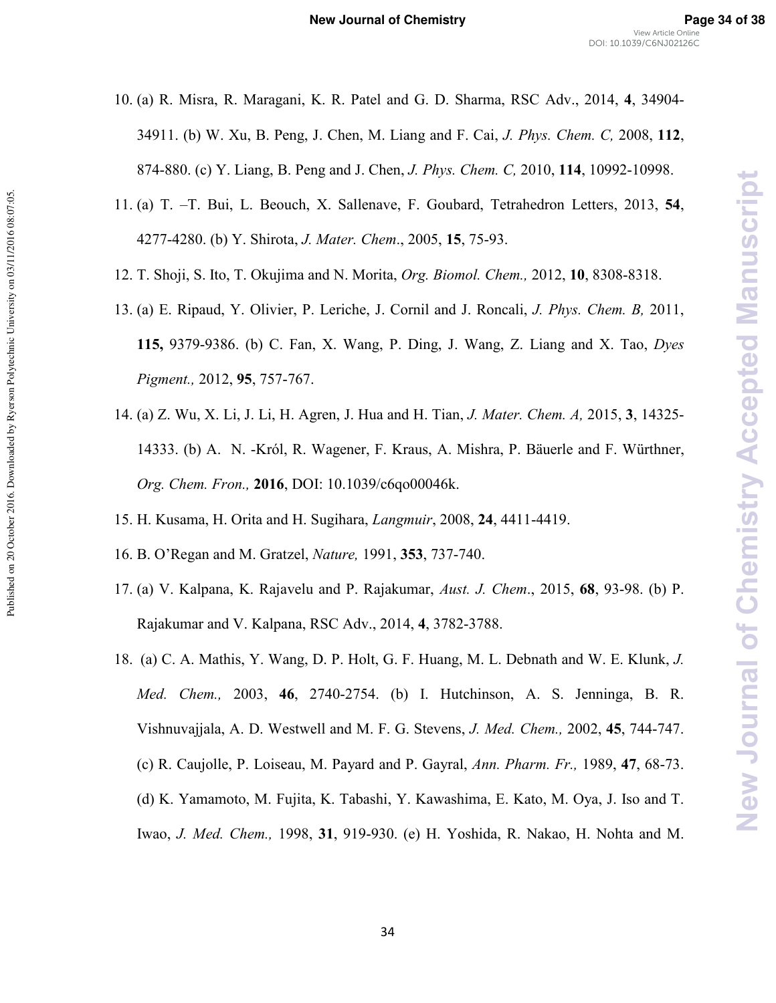- 10. (a) R. Misra, R. Maragani, K. R. Patel and G. D. Sharma, RSC Adv., 2014, **4**, 34904\* 34911. (b) W. Xu, B. Peng, J. Chen, M. Liang and F. Cai, *(%-%%* 2008, **112**, 874-880. (c) Y. Liang, B. Peng and J. Chen, *J. Phys. Chem. C*, 2010, 114, 10992-10998.
- 11. (a) T. –T. Bui, L. Beouch, X. Sallenave, F. Goubard, Tetrahedron Letters, 2013, **54**, 4277\*4280. (b) Y. Shirota, *(%-%*., 2005, **15**, 75\*93.
- 12. T. Shoji, S. Ito, T. Okujima and N. Morita, *Org. Biomol. Chem.*, 2012, 10, 8308-8318.
- 13. (a) E. Ripaud, Y. Olivier, P. Leriche, J. Cornil and J. Roncali, *(%-%%.* 2011, **115,** 9379-9386. (b) C. Fan, X. Wang, P. Ding, J. Wang, Z. Liang and X. Tao, *Dyes Pigment., 2012, 95, 757-767.*
- 14. (a) Z. Wu, X. Li, J. Li, H. Agren, J. Hua and H. Tian, *J. Mater. Chem. A*, 2015, 3, 14325-14333. (b) A. N. \*Król, R. Wagener, F. Kraus, A. Mishra, P. Bäuerle and F. Würthner, *%%1 %***2016**, DOI: 10.1039/c6qo00046k.
- 15. H. Kusama, H. Orita and H. Sugihara, *Langmuir*, 2008, 24, 4411-4419.
- 16. B. O'Regan and M. Gratzel, *Nature*, 1991, 353, 737-740.

Published on 20 October 2016. Downloaded by Ryerson Polytechnic University on 03/11/2016 08:07:05

- 17. (a) V. Kalpana, K. Rajavelu and P. Rajakumar, *Aust. J. Chem.*, 2015, **68**, 93-98. (b) P. Rajakumar and V. Kalpana, RSC Adv., 2014, **4**, 3782\*3788.
- 18. (a) C. A. Mathis, Y. Wang, D. P. Holt, G. F. Huang, M. L. Debnath and W. E. Klunk, *(% Med. Chem.,* 2003, 46, 2740-2754. (b) I. Hutchinson, A. S. Jenninga, B. R. Vishnuvajjala, A. D. Westwell and M. F. G. Stevens, *(%%%* 2002, **45**, 744\*747. (c) R. Caujolle, P. Loiseau, M. Payard and P. Gayral, *Ann. Pharm. Fr.*, 1989, 47, 68-73. (d) K. Yamamoto, M. Fujita, K. Tabashi, Y. Kawashima, E. Kato, M. Oya, J. Iso and T. Iwao, *J. Med. Chem.*, 1998, 31, 919-930. (e) H. Yoshida, R. Nakao, H. Nohta and M.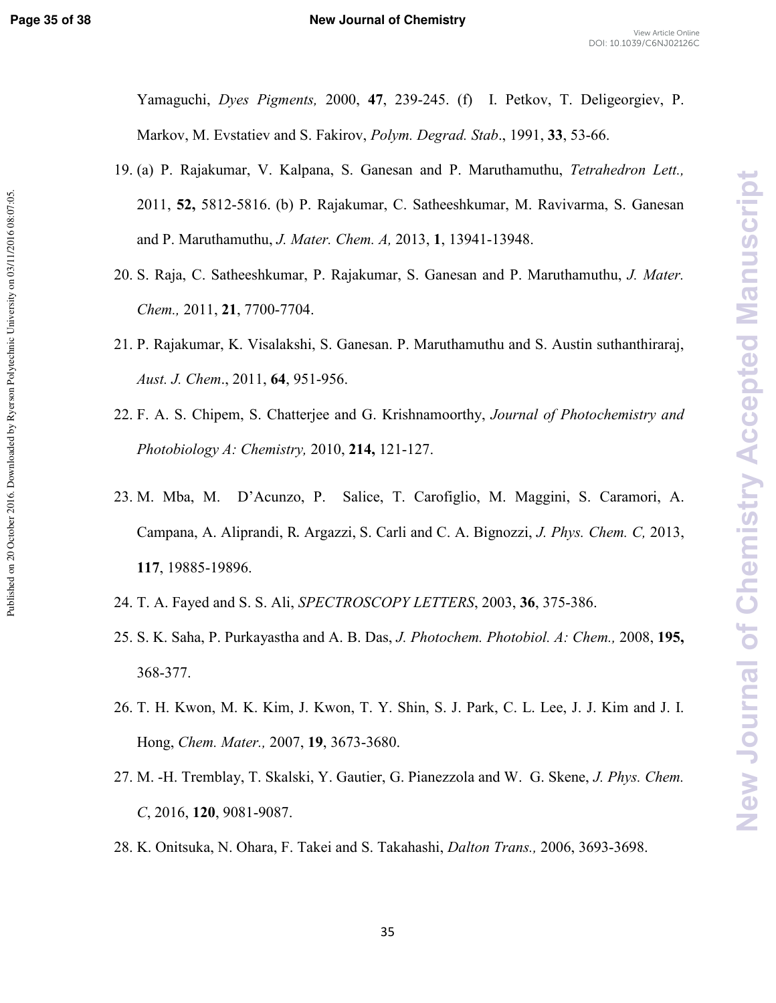New Journal of Chemistry Accepted Manuscript

Yamaguchi, *Dyes Pigments*, 2000, 47, 239-245. (f) I. Petkov, T. Deligeorgiev, P. Markov, M. Evstatiev and S. Fakirov, *Polym. Degrad. Stab.*, 1991, 33, 53-66.

- 19. (a) P. Rajakumar, V. Kalpana, S. Ganesan and P. Maruthamuthu, Tetrahedron Lett., 2011, **52,** 5812\*5816. (b) P. Rajakumar, C. Satheeshkumar, M. Ravivarma, S. Ganesan and P. Maruthamuthu, *J. Mater. Chem. A*, 2013, 1, 13941-13948.
- 20. S. Raja, C. Satheeshkumar, P. Rajakumar, S. Ganesan and P. Maruthamuthu, *J. Mater*. *Chem.*, 2011, 21, 7700-7704.
- 21. P. Rajakumar, K. Visalakshi, S. Ganesan. P. Maruthamuthu and S. Austin suthanthiraraj, *Aust. J. Chem.*, 2011, 64, 951-956.
- 22. F. A. S. Chipem, S. Chatterjee and G. Krishnamoorthy, *Journal of Photochemistry and Photobiology A: Chemistry, 2010, 214, 121-127.*
- 23. M. Mba, M. D'Acunzo, P. Salice, T. Carofiglio, M. Maggini, S. Caramori, A. Campana, A. Aliprandi, R. Argazzi, S. Carli and C. A. Bignozzi, *J. Phys. Chem. C.* 2013, **117**, 19885-19896.
- 24. T. A. Fayed and S. S. Ali, *SPECTROSCOPY LETTERS*, 2003, **36**, 375-386.
- 25. S. K. Saha, P. Purkayastha and A. B. Das, *(%- %- " %+3%* 2008, **195,** 368-377.
- 26. T. H. Kwon, M. K. Kim, J. Kwon, T. Y. Shin, S. J. Park, C. L. Lee, J. J. Kim and J. I. Hong, *Chem. Mater.*, 2007, **19**, 3673-3680.
- 27. M. -H. Tremblay, T. Skalski, Y. Gautier, G. Pianezzola and W. G. Skene, *J. Phys. Chem.* C, 2016, 120, 9081-9087.
- 28. K. Onitsuka, N. Ohara, F. Takei and S. Takahashi, *Dalton Trans.*, 2006, 3693-3698.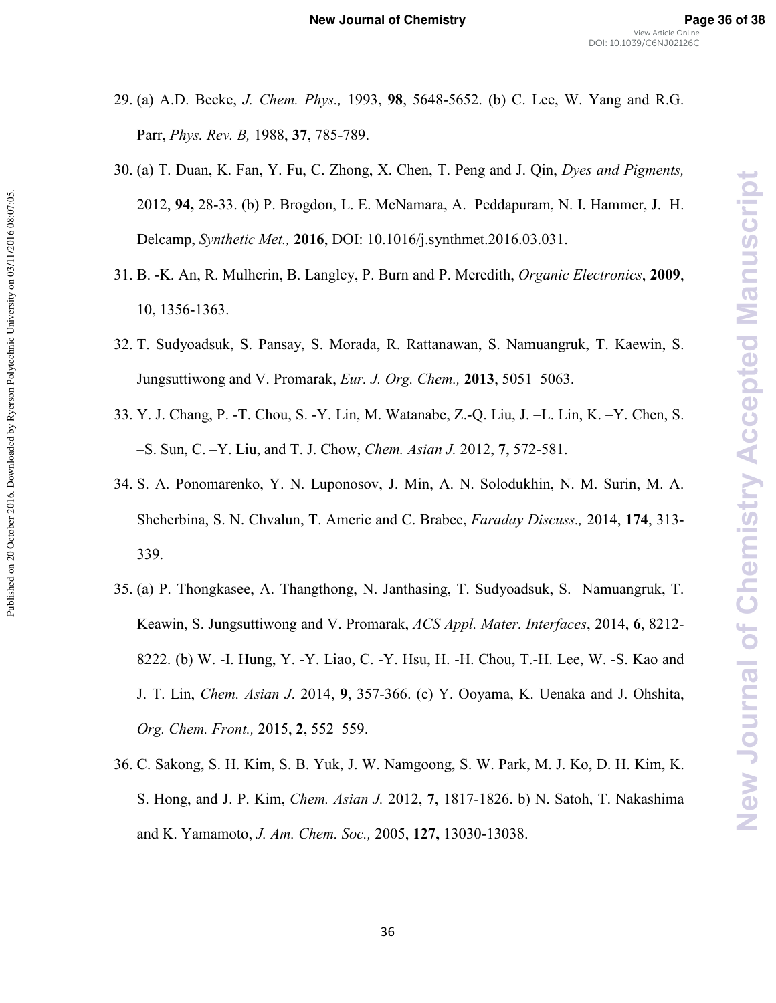- 29. (a) A.D. Becke, *J. Chem. Phys.*, 1993, **98.** 5648-5652. (b) C. Lee, W. Yang and R.G. Parr, *Phys. Rev. B*, 1988, 37, 785-789.
- 30. (a) T. Duan, K. Fan, Y. Fu, C. Zhong, X. Chen, T. Peng and J. Qin, *Dyes and Pigments*, 2012, **94,** 28\*33. (b) P. Brogdon, L. E. McNamara, A. Peddapuram, N. I. Hammer, J. H. Delcamp, *Synthetic Met.*, **2016**, DOI: 10.1016/j.synthmet.2016.03.031.
- 31. B. -K. An, R. Mulherin, B. Langley, P. Burn and P. Meredith, *Organic Electronics*, 2009, 10, 1356-1363.
- 32. T. Sudyoadsuk, S. Pansay, S. Morada, R. Rattanawan, S. Namuangruk, T. Kaewin, S. Jungsuttiwong and V. Promarak, *Eur. J. Org. Chem.*, **2013**, 5051–5063.
- 33. Y. J. Chang, P. \*T. Chou, S. \*Y. Lin, M. Watanabe, Z.\*Q. Liu, J. –L. Lin, K. –Y. Chen, S. -S. Sun, C. -Y. Liu, and T. J. Chow, *Chem. Asian J.* 2012, 7, 572-581.

Published on 20 October 2016. Downloaded by Ryerson Polytechnic University on 03/11/2016 08:07:05

- 34. S. A. Ponomarenko, Y. N. Luponosov, J. Min, A. N. Solodukhin, N. M. Surin, M. A. Shcherbina, S. N. Chvalun, T. Americ and C. Brabec, *Faraday Discuss.*, 2014, 174, 313-339.
- 35. (a) P. Thongkasee, A. Thangthong, N. Janthasing, T. Sudyoadsuk, S. Namuangruk, T. Keawin, S. Jungsuttiwong and V. Promarak, ACS Appl. Mater. Interfaces, 2014, 6, 8212-8222. (b) W. \*I. Hung, Y. \*Y. Liao, C. \*Y. Hsu, H. \*H. Chou, T.\*H. Lee, W. \*S. Kao and J. T. Lin, *Chem. Asian J.* 2014, 9, 357-366. (c) Y. Ooyama, K. Uenaka and J. Ohshita, *Org. Chem. Front., 2015, 2, 552–559.*
- 36. C. Sakong, S. H. Kim, S. B. Yuk, J. W. Namgoong, S. W. Park, M. J. Ko, D. H. Kim, K. S. Hong, and J. P. Kim, *Chem. Asian J.* 2012, 7, 1817-1826. b) N. Satoh, T. Nakashima and K. Yamamoto, *J. Am. Chem. Soc.*, 2005, 127, 13030-13038.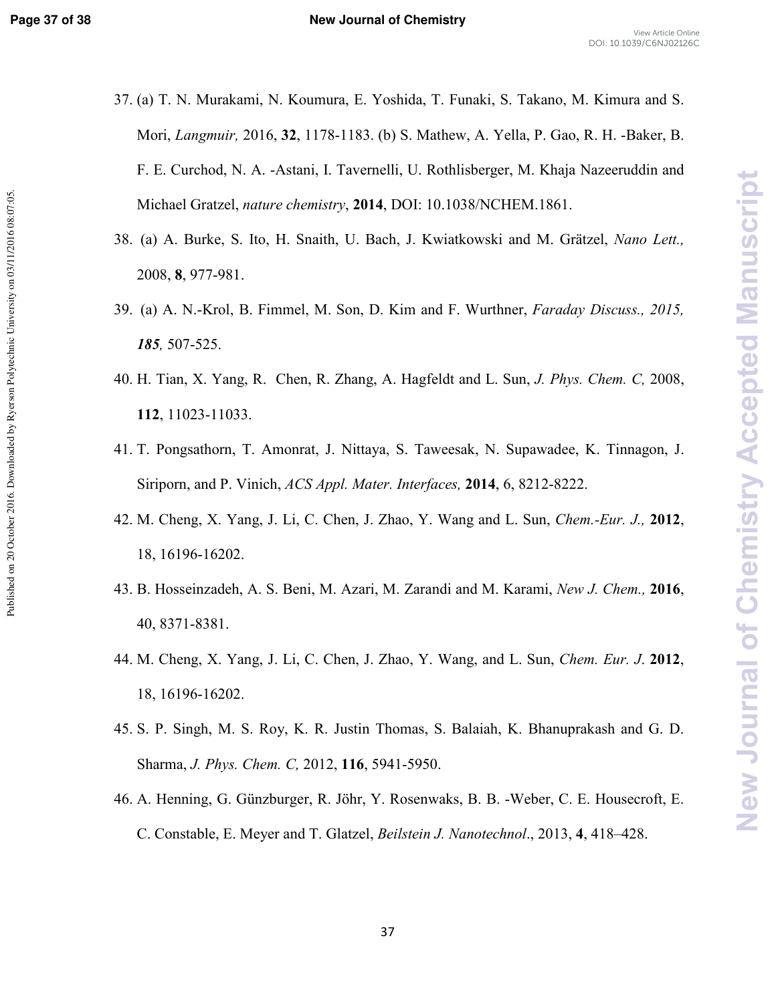Published on 20 October 2016. Downloaded by Ryerson Polytechnic University on 03/11/2016 08:07:05

- 37. (a) T. N. Murakami, N. Koumura, E. Yoshida, T. Funaki, S. Takano, M. Kimura and S. Mori, *Langmuir*, 2016, 32, 1178-1183. (b) S. Mathew, A. Yella, P. Gao, R. H. -Baker, B. F. E. Curchod, N. A. \*Astani, I. Tavernelli, U. Rothlisberger, M. Khaja Nazeeruddin and Michael Gratzel, nature chemistry, 2014, DOI: 10.1038/NCHEM.1861.
- 38. (a) A. Burke, S. Ito, H. Snaith, U. Bach, J. Kwiatkowski and M. Grätzel, *Nano Lett.*, 2008, **8**, 977-981.
- 39. (a) A. N.-Krol, B. Fimmel, M. Son, D. Kim and F. Wurthner, *Faraday Discuss.*, 2015, *185*, 507-525.
- 40. H. Tian, X. Yang, R. Chen, R. Zhang, A. Hagfeldt and L. Sun, *(%-%%* 2008, **112**, 11023-11033.
- 41. T. Pongsathorn, T. Amonrat, J. Nittaya, S. Taweesak, N. Supawadee, K. Tinnagon, J. Siriporn, and P. Vinich, *ACS Appl. Mater. Interfaces*, **2014**, 6, 8212-8222.
- 42. M. Cheng, X. Yang, J. Li, C. Chen, J. Zhao, Y. Wang and L. Sun, *Chem.-Eur. J.*, 2012, 18, 16196-16202.
- 43. B. Hosseinzadeh, A. S. Beni, M. Azari, M. Zarandi and M. Karami, *New J. Chem.*, 2016, 40, 8371-8381.
- 44. M. Cheng, X. Yang, J. Li, C. Chen, J. Zhao, Y. Wang, and L. Sun, *Chem. Eur. J.* 2012, 18, 16196-16202.
- 45. S. P. Singh, M. S. Roy, K. R. Justin Thomas, S. Balaiah, K. Bhanuprakash and G. D. Sharma, *J. Phys. Chem. C*, 2012, 116, 5941-5950.
- 46. A. Henning, G. Günzburger, R. Jöhr, Y. Rosenwaks, B. B. \*Weber, C. E. Housecroft, E. C. Constable, E. Meyer and T. Glatzel, *Beilstein J. Nanotechnol.*, 2013, 4, 418–428.